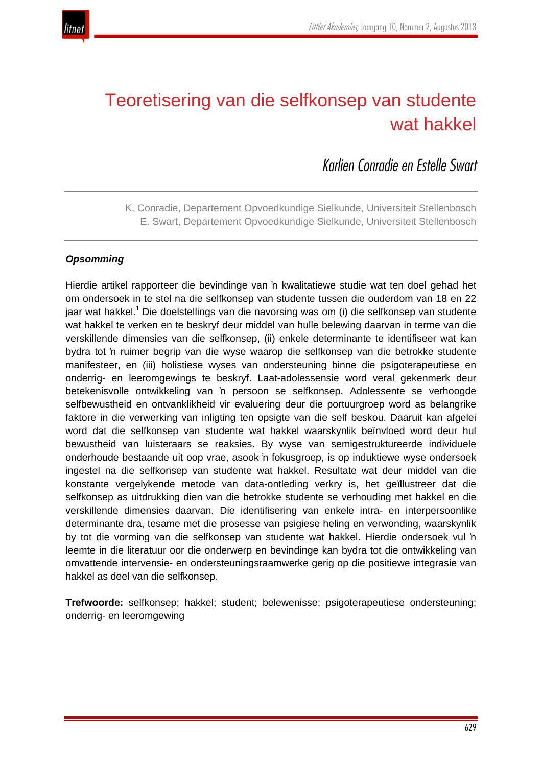

# Teoretisering van die selfkonsep van studente wat hakkel

*Karlien Conradie en Estelle Swart*

K. Conradie, Departement Opvoedkundige Sielkunde, Universiteit Stellenbosch E. Swart, Departement Opvoedkundige Sielkunde, Universiteit Stellenbosch

## *Opsomming*

Hierdie artikel rapporteer die bevindinge van 'n kwalitatiewe studie wat ten doel gehad het om ondersoek in te stel na die selfkonsep van studente tussen die ouderdom van 18 en 22 jaar wat hakkel.<sup>1</sup> Die doelstellings van die navorsing was om (i) die selfkonsep van studente wat hakkel te verken en te beskryf deur middel van hulle belewing daarvan in terme van die verskillende dimensies van die selfkonsep, (ii) enkele determinante te identifiseer wat kan bydra tot 'n ruimer begrip van die wyse waarop die selfkonsep van die betrokke studente manifesteer, en (iii) holistiese wyses van ondersteuning binne die psigoterapeutiese en onderrig- en leeromgewings te beskryf. Laat-adolessensie word veral gekenmerk deur betekenisvolle ontwikkeling van 'n persoon se selfkonsep. Adolessente se verhoogde selfbewustheid en ontvanklikheid vir evaluering deur die portuurgroep word as belangrike faktore in die verwerking van inligting ten opsigte van die self beskou. Daaruit kan afgelei word dat die selfkonsep van studente wat hakkel waarskynlik beïnvloed word deur hul bewustheid van luisteraars se reaksies. By wyse van semigestruktureerde individuele onderhoude bestaande uit oop vrae, asook 'n fokusgroep, is op induktiewe wyse ondersoek ingestel na die selfkonsep van studente wat hakkel. Resultate wat deur middel van die konstante vergelykende metode van data-ontleding verkry is, het geïllustreer dat die selfkonsep as uitdrukking dien van die betrokke studente se verhouding met hakkel en die verskillende dimensies daarvan. Die identifisering van enkele intra- en interpersoonlike determinante dra, tesame met die prosesse van psigiese heling en verwonding, waarskynlik by tot die vorming van die selfkonsep van studente wat hakkel. Hierdie ondersoek vul 'n leemte in die literatuur oor die onderwerp en bevindinge kan bydra tot die ontwikkeling van omvattende intervensie- en ondersteuningsraamwerke gerig op die positiewe integrasie van hakkel as deel van die selfkonsep.

**Trefwoorde:** selfkonsep; hakkel; student; belewenisse; psigoterapeutiese ondersteuning; onderrig- en leeromgewing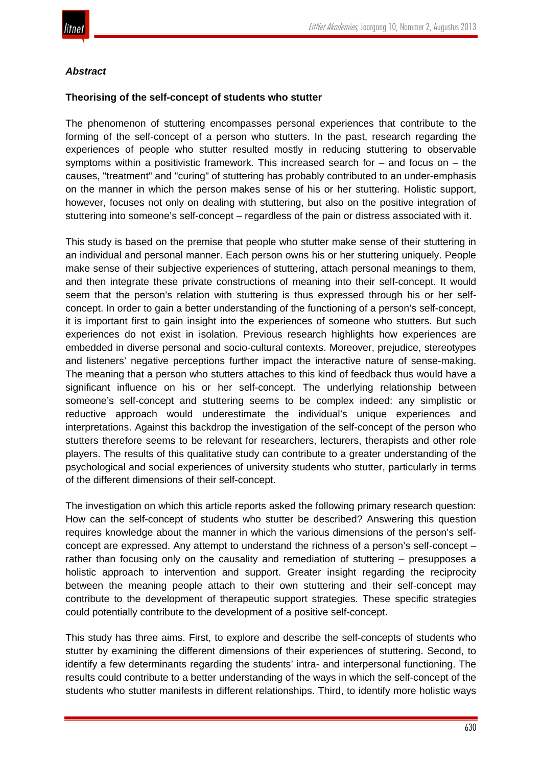

#### *Abstract*

#### **Theorising of the self-concept of students who stutter**

The phenomenon of stuttering encompasses personal experiences that contribute to the forming of the self-concept of a person who stutters. In the past, research regarding the experiences of people who stutter resulted mostly in reducing stuttering to observable symptoms within a positivistic framework. This increased search for  $-$  and focus on  $-$  the causes, "treatment" and "curing" of stuttering has probably contributed to an under-emphasis on the manner in which the person makes sense of his or her stuttering. Holistic support, however, focuses not only on dealing with stuttering, but also on the positive integration of stuttering into someone's self-concept – regardless of the pain or distress associated with it.

This study is based on the premise that people who stutter make sense of their stuttering in an individual and personal manner. Each person owns his or her stuttering uniquely. People make sense of their subjective experiences of stuttering, attach personal meanings to them, and then integrate these private constructions of meaning into their self-concept. It would seem that the person's relation with stuttering is thus expressed through his or her selfconcept. In order to gain a better understanding of the functioning of a person's self-concept, it is important first to gain insight into the experiences of someone who stutters. But such experiences do not exist in isolation. Previous research highlights how experiences are embedded in diverse personal and socio-cultural contexts. Moreover, prejudice, stereotypes and listeners' negative perceptions further impact the interactive nature of sense-making. The meaning that a person who stutters attaches to this kind of feedback thus would have a significant influence on his or her self-concept. The underlying relationship between someone's self-concept and stuttering seems to be complex indeed: any simplistic or reductive approach would underestimate the individual's unique experiences and interpretations. Against this backdrop the investigation of the self-concept of the person who stutters therefore seems to be relevant for researchers, lecturers, therapists and other role players. The results of this qualitative study can contribute to a greater understanding of the psychological and social experiences of university students who stutter, particularly in terms of the different dimensions of their self-concept.

The investigation on which this article reports asked the following primary research question: How can the self-concept of students who stutter be described? Answering this question requires knowledge about the manner in which the various dimensions of the person's selfconcept are expressed. Any attempt to understand the richness of a person's self-concept – rather than focusing only on the causality and remediation of stuttering – presupposes a holistic approach to intervention and support. Greater insight regarding the reciprocity between the meaning people attach to their own stuttering and their self-concept may contribute to the development of therapeutic support strategies. These specific strategies could potentially contribute to the development of a positive self-concept.

This study has three aims. First, to explore and describe the self-concepts of students who stutter by examining the different dimensions of their experiences of stuttering. Second, to identify a few determinants regarding the students' intra- and interpersonal functioning. The results could contribute to a better understanding of the ways in which the self-concept of the students who stutter manifests in different relationships. Third, to identify more holistic ways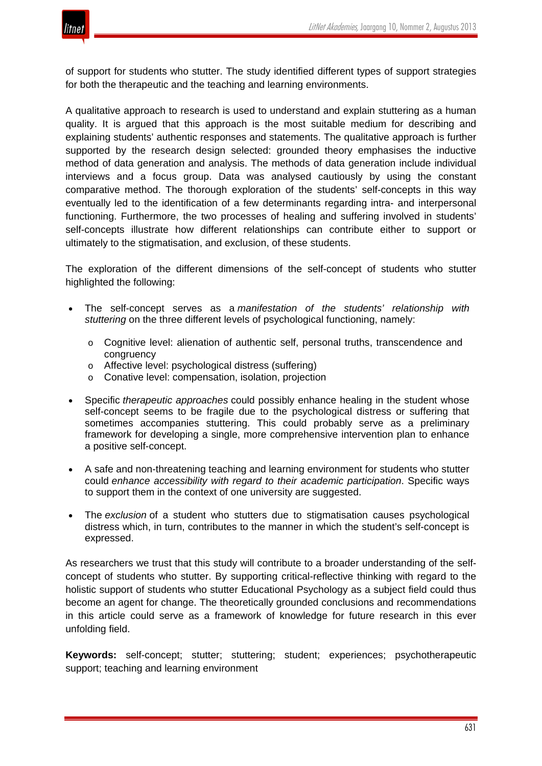

of support for students who stutter. The study identified different types of support strategies for both the therapeutic and the teaching and learning environments.

A qualitative approach to research is used to understand and explain stuttering as a human quality. It is argued that this approach is the most suitable medium for describing and explaining students' authentic responses and statements. The qualitative approach is further supported by the research design selected: grounded theory emphasises the inductive method of data generation and analysis. The methods of data generation include individual interviews and a focus group. Data was analysed cautiously by using the constant comparative method. The thorough exploration of the students' self-concepts in this way eventually led to the identification of a few determinants regarding intra- and interpersonal functioning. Furthermore, the two processes of healing and suffering involved in students' self-concepts illustrate how different relationships can contribute either to support or ultimately to the stigmatisation, and exclusion, of these students.

The exploration of the different dimensions of the self-concept of students who stutter highlighted the following:

- The self-concept serves as a *manifestation of the students' relationship with stuttering* on the three different levels of psychological functioning, namely:
	- o Cognitive level: alienation of authentic self, personal truths, transcendence and congruency
	- o Affective level: psychological distress (suffering)
	- o Conative level: compensation, isolation, projection
- Specific *therapeutic approaches* could possibly enhance healing in the student whose self-concept seems to be fragile due to the psychological distress or suffering that sometimes accompanies stuttering. This could probably serve as a preliminary framework for developing a single, more comprehensive intervention plan to enhance a positive self-concept.
- A safe and non-threatening teaching and learning environment for students who stutter could *enhance accessibility with regard to their academic participation*. Specific ways to support them in the context of one university are suggested.
- The *exclusion* of a student who stutters due to stigmatisation causes psychological distress which, in turn, contributes to the manner in which the student's self-concept is expressed.

As researchers we trust that this study will contribute to a broader understanding of the selfconcept of students who stutter. By supporting critical-reflective thinking with regard to the holistic support of students who stutter Educational Psychology as a subject field could thus become an agent for change. The theoretically grounded conclusions and recommendations in this article could serve as a framework of knowledge for future research in this ever unfolding field.

**Keywords:** self-concept; stutter; stuttering; student; experiences; psychotherapeutic support; teaching and learning environment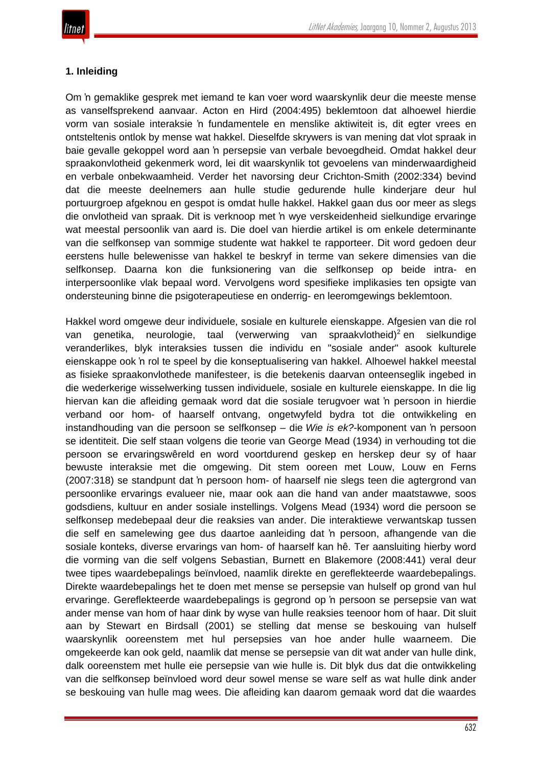# **1. Inleiding**

Om 'n gemaklike gesprek met iemand te kan voer word waarskynlik deur die meeste mense as vanselfsprekend aanvaar. Acton en Hird (2004:495) beklemtoon dat alhoewel hierdie vorm van sosiale interaksie 'n fundamentele en menslike aktiwiteit is, dit egter vrees en ontsteltenis ontlok by mense wat hakkel. Dieselfde skrywers is van mening dat vlot spraak in baie gevalle gekoppel word aan 'n persepsie van verbale bevoegdheid. Omdat hakkel deur spraakonvlotheid gekenmerk word, lei dit waarskynlik tot gevoelens van minderwaardigheid en verbale onbekwaamheid. Verder het navorsing deur Crichton-Smith (2002:334) bevind dat die meeste deelnemers aan hulle studie gedurende hulle kinderjare deur hul portuurgroep afgeknou en gespot is omdat hulle hakkel. Hakkel gaan dus oor meer as slegs die onvlotheid van spraak. Dit is verknoop met 'n wye verskeidenheid sielkundige ervaringe wat meestal persoonlik van aard is. Die doel van hierdie artikel is om enkele determinante van die selfkonsep van sommige studente wat hakkel te rapporteer. Dit word gedoen deur eerstens hulle belewenisse van hakkel te beskryf in terme van sekere dimensies van die selfkonsep. Daarna kon die funksionering van die selfkonsep op beide intra- en interpersoonlike vlak bepaal word. Vervolgens word spesifieke implikasies ten opsigte van ondersteuning binne die psigoterapeutiese en onderrig- en leeromgewings beklemtoon.

Hakkel word omgewe deur individuele, sosiale en kulturele eienskappe. Afgesien van die rol van genetika, neurologie, taal (verwerwing van spraakvlotheid)<sup>2</sup> en sielkundige veranderlikes, blyk interaksies tussen die individu en "sosiale ander" asook kulturele eienskappe ook 'n rol te speel by die konseptualisering van hakkel. Alhoewel hakkel meestal as fisieke spraakonvlothede manifesteer, is die betekenis daarvan onteenseglik ingebed in die wederkerige wisselwerking tussen individuele, sosiale en kulturele eienskappe. In die lig hiervan kan die afleiding gemaak word dat die sosiale terugvoer wat 'n persoon in hierdie verband oor hom- of haarself ontvang, ongetwyfeld bydra tot die ontwikkeling en instandhouding van die persoon se selfkonsep – die *Wie is ek?*-komponent van 'n persoon se identiteit. Die self staan volgens die teorie van George Mead (1934) in verhouding tot die persoon se ervaringswêreld en word voortdurend geskep en herskep deur sy of haar bewuste interaksie met die omgewing. Dit stem ooreen met Louw, Louw en Ferns (2007:318) se standpunt dat 'n persoon hom- of haarself nie slegs teen die agtergrond van persoonlike ervarings evalueer nie, maar ook aan die hand van ander maatstawwe, soos godsdiens, kultuur en ander sosiale instellings. Volgens Mead (1934) word die persoon se selfkonsep medebepaal deur die reaksies van ander. Die interaktiewe verwantskap tussen die self en samelewing gee dus daartoe aanleiding dat 'n persoon, afhangende van die sosiale konteks, diverse ervarings van hom- of haarself kan hê. Ter aansluiting hierby word die vorming van die self volgens Sebastian, Burnett en Blakemore (2008:441) veral deur twee tipes waardebepalings beïnvloed, naamlik direkte en gereflekteerde waardebepalings. Direkte waardebepalings het te doen met mense se persepsie van hulself op grond van hul ervaringe. Gereflekteerde waardebepalings is gegrond op 'n persoon se persepsie van wat ander mense van hom of haar dink by wyse van hulle reaksies teenoor hom of haar. Dit sluit aan by Stewart en Birdsall (2001) se stelling dat mense se beskouing van hulself waarskynlik ooreenstem met hul persepsies van hoe ander hulle waarneem. Die omgekeerde kan ook geld, naamlik dat mense se persepsie van dit wat ander van hulle dink, dalk ooreenstem met hulle eie persepsie van wie hulle is. Dit blyk dus dat die ontwikkeling van die selfkonsep beïnvloed word deur sowel mense se ware self as wat hulle dink ander se beskouing van hulle mag wees. Die afleiding kan daarom gemaak word dat die waardes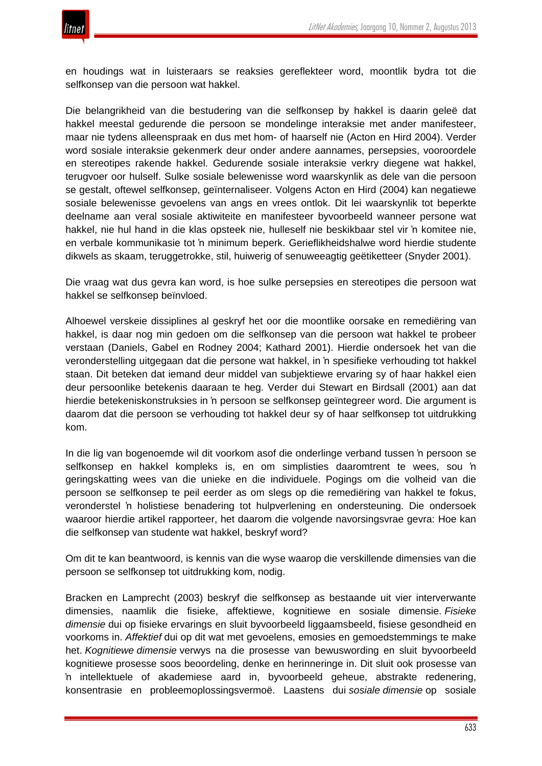en houdings wat in luisteraars se reaksies gereflekteer word, moontlik bydra tot die selfkonsep van die persoon wat hakkel.

Die belangrikheid van die bestudering van die selfkonsep by hakkel is daarin geleë dat hakkel meestal gedurende die persoon se mondelinge interaksie met ander manifesteer, maar nie tydens alleenspraak en dus met hom- of haarself nie (Acton en Hird 2004). Verder word sosiale interaksie gekenmerk deur onder andere aannames, persepsies, vooroordele en stereotipes rakende hakkel. Gedurende sosiale interaksie verkry diegene wat hakkel, terugvoer oor hulself. Sulke sosiale belewenisse word waarskynlik as dele van die persoon se gestalt, oftewel selfkonsep, geïnternaliseer. Volgens Acton en Hird (2004) kan negatiewe sosiale belewenisse gevoelens van angs en vrees ontlok. Dit lei waarskynlik tot beperkte deelname aan veral sosiale aktiwiteite en manifesteer byvoorbeeld wanneer persone wat hakkel, nie hul hand in die klas opsteek nie, hulleself nie beskikbaar stel vir 'n komitee nie, en verbale kommunikasie tot 'n minimum beperk. Gerieflikheidshalwe word hierdie studente dikwels as skaam, teruggetrokke, stil, huiwerig of senuweeagtig geëtiketteer (Snyder 2001).

Die vraag wat dus gevra kan word, is hoe sulke persepsies en stereotipes die persoon wat hakkel se selfkonsep beïnvloed.

Alhoewel verskeie dissiplines al geskryf het oor die moontlike oorsake en remediëring van hakkel, is daar nog min gedoen om die selfkonsep van die persoon wat hakkel te probeer verstaan (Daniels, Gabel en Rodney 2004; Kathard 2001). Hierdie ondersoek het van die veronderstelling uitgegaan dat die persone wat hakkel, in 'n spesifieke verhouding tot hakkel staan. Dit beteken dat iemand deur middel van subjektiewe ervaring sy of haar hakkel eien deur persoonlike betekenis daaraan te heg. Verder dui Stewart en Birdsall (2001) aan dat hierdie betekeniskonstruksies in 'n persoon se selfkonsep geïntegreer word. Die argument is daarom dat die persoon se verhouding tot hakkel deur sy of haar selfkonsep tot uitdrukking kom.

In die lig van bogenoemde wil dit voorkom asof die onderlinge verband tussen 'n persoon se selfkonsep en hakkel kompleks is, en om simplisties daaromtrent te wees, sou 'n geringskatting wees van die unieke en die individuele. Pogings om die volheid van die persoon se selfkonsep te peil eerder as om slegs op die remediëring van hakkel te fokus, veronderstel 'n holistiese benadering tot hulpverlening en ondersteuning. Die ondersoek waaroor hierdie artikel rapporteer, het daarom die volgende navorsingsvrae gevra: Hoe kan die selfkonsep van studente wat hakkel, beskryf word?

Om dit te kan beantwoord, is kennis van die wyse waarop die verskillende dimensies van die persoon se selfkonsep tot uitdrukking kom, nodig.

Bracken en Lamprecht (2003) beskryf die selfkonsep as bestaande uit vier interverwante dimensies, naamlik die fisieke, affektiewe, kognitiewe en sosiale dimensie. *Fisieke dimensie* dui op fisieke ervarings en sluit byvoorbeeld liggaamsbeeld, fisiese gesondheid en voorkoms in. *Affektief* dui op dit wat met gevoelens, emosies en gemoedstemmings te make het. *Kognitiewe dimensie* verwys na die prosesse van bewuswording en sluit byvoorbeeld kognitiewe prosesse soos beoordeling, denke en herinneringe in. Dit sluit ook prosesse van 'n intellektuele of akademiese aard in, byvoorbeeld geheue, abstrakte redenering, konsentrasie en probleemoplossingsvermoë. Laastens dui *sosiale dimensie* op sosiale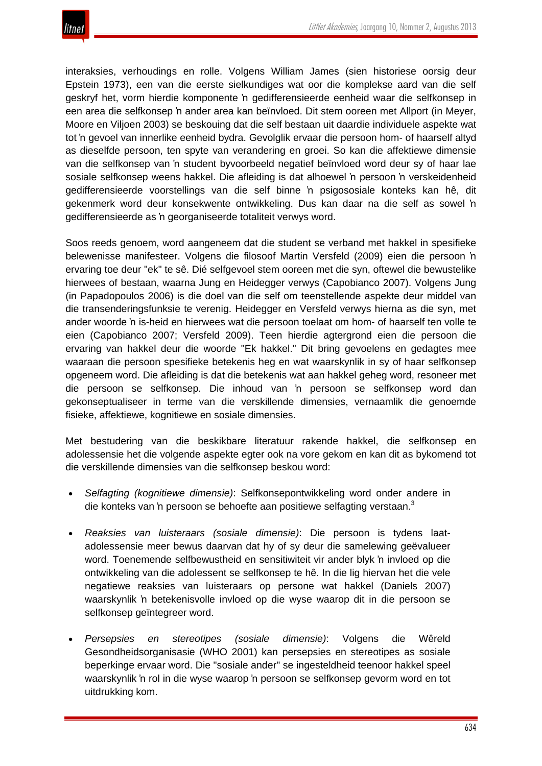

interaksies, verhoudings en rolle. Volgens William James (sien historiese oorsig deur Epstein 1973), een van die eerste sielkundiges wat oor die komplekse aard van die self geskryf het, vorm hierdie komponente 'n gedifferensieerde eenheid waar die selfkonsep in een area die selfkonsep 'n ander area kan beïnvloed. Dit stem ooreen met Allport (in Meyer, Moore en Viljoen 2003) se beskouing dat die self bestaan uit daardie individuele aspekte wat tot 'n gevoel van innerlike eenheid bydra. Gevolglik ervaar die persoon hom- of haarself altyd as dieselfde persoon, ten spyte van verandering en groei. So kan die affektiewe dimensie van die selfkonsep van 'n student byvoorbeeld negatief beïnvloed word deur sy of haar lae sosiale selfkonsep weens hakkel. Die afleiding is dat alhoewel 'n persoon 'n verskeidenheid gedifferensieerde voorstellings van die self binne 'n psigososiale konteks kan hê, dit gekenmerk word deur konsekwente ontwikkeling. Dus kan daar na die self as sowel 'n gedifferensieerde as 'n georganiseerde totaliteit verwys word.

Soos reeds genoem, word aangeneem dat die student se verband met hakkel in spesifieke belewenisse manifesteer. Volgens die filosoof Martin Versfeld (2009) eien die persoon 'n ervaring toe deur "ek" te sê. Dié selfgevoel stem ooreen met die syn, oftewel die bewustelike hierwees of bestaan, waarna Jung en Heidegger verwys (Capobianco 2007). Volgens Jung (in Papadopoulos 2006) is die doel van die self om teenstellende aspekte deur middel van die transenderingsfunksie te verenig. Heidegger en Versfeld verwys hierna as die syn, met ander woorde 'n is-heid en hierwees wat die persoon toelaat om hom- of haarself ten volle te eien (Capobianco 2007; Versfeld 2009). Teen hierdie agtergrond eien die persoon die ervaring van hakkel deur die woorde "Ek hakkel." Dit bring gevoelens en gedagtes mee waaraan die persoon spesifieke betekenis heg en wat waarskynlik in sy of haar selfkonsep opgeneem word. Die afleiding is dat die betekenis wat aan hakkel geheg word, resoneer met die persoon se selfkonsep. Die inhoud van 'n persoon se selfkonsep word dan gekonseptualiseer in terme van die verskillende dimensies, vernaamlik die genoemde fisieke, affektiewe, kognitiewe en sosiale dimensies.

Met bestudering van die beskikbare literatuur rakende hakkel, die selfkonsep en adolessensie het die volgende aspekte egter ook na vore gekom en kan dit as bykomend tot die verskillende dimensies van die selfkonsep beskou word:

- *Selfagting (kognitiewe dimensie)*: Selfkonsepontwikkeling word onder andere in die konteks van 'n persoon se behoefte aan positiewe selfagting verstaan.<sup>3</sup>
- *Reaksies van luisteraars (sosiale dimensie)*: Die persoon is tydens laatadolessensie meer bewus daarvan dat hy of sy deur die samelewing geëvalueer word. Toenemende selfbewustheid en sensitiwiteit vir ander blyk 'n invloed op die ontwikkeling van die adolessent se selfkonsep te hê. In die lig hiervan het die vele negatiewe reaksies van luisteraars op persone wat hakkel (Daniels 2007) waarskynlik 'n betekenisvolle invloed op die wyse waarop dit in die persoon se selfkonsep geïntegreer word.
- *Persepsies en stereotipes (sosiale dimensie)*: Volgens die Wêreld Gesondheidsorganisasie (WHO 2001) kan persepsies en stereotipes as sosiale beperkinge ervaar word. Die "sosiale ander" se ingesteldheid teenoor hakkel speel waarskynlik 'n rol in die wyse waarop 'n persoon se selfkonsep gevorm word en tot uitdrukking kom.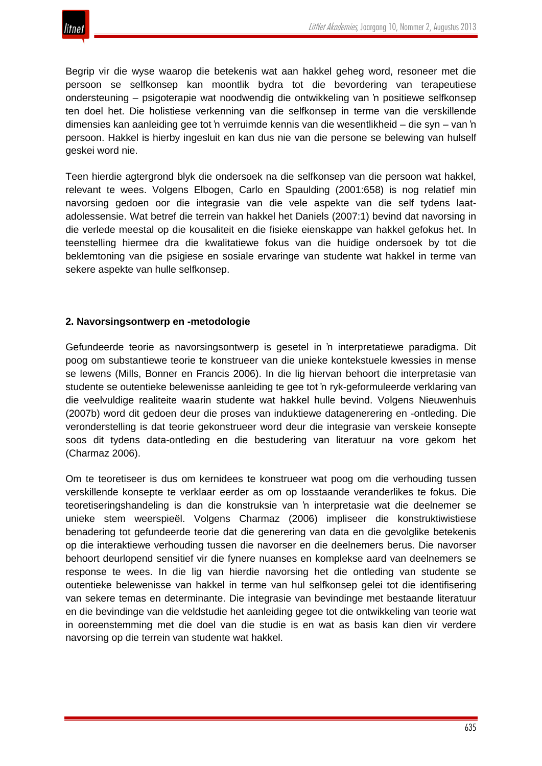

Begrip vir die wyse waarop die betekenis wat aan hakkel geheg word, resoneer met die persoon se selfkonsep kan moontlik bydra tot die bevordering van terapeutiese ondersteuning – psigoterapie wat noodwendig die ontwikkeling van 'n positiewe selfkonsep ten doel het. Die holistiese verkenning van die selfkonsep in terme van die verskillende dimensies kan aanleiding gee tot 'n verruimde kennis van die wesentlikheid – die syn – van 'n persoon. Hakkel is hierby ingesluit en kan dus nie van die persone se belewing van hulself geskei word nie.

Teen hierdie agtergrond blyk die ondersoek na die selfkonsep van die persoon wat hakkel, relevant te wees. Volgens Elbogen, Carlo en Spaulding (2001:658) is nog relatief min navorsing gedoen oor die integrasie van die vele aspekte van die self tydens laatadolessensie. Wat betref die terrein van hakkel het Daniels (2007:1) bevind dat navorsing in die verlede meestal op die kousaliteit en die fisieke eienskappe van hakkel gefokus het. In teenstelling hiermee dra die kwalitatiewe fokus van die huidige ondersoek by tot die beklemtoning van die psigiese en sosiale ervaringe van studente wat hakkel in terme van sekere aspekte van hulle selfkonsep.

#### **2. Navorsingsontwerp en -metodologie**

Gefundeerde teorie as navorsingsontwerp is gesetel in 'n interpretatiewe paradigma. Dit poog om substantiewe teorie te konstrueer van die unieke kontekstuele kwessies in mense se lewens (Mills, Bonner en Francis 2006). In die lig hiervan behoort die interpretasie van studente se outentieke belewenisse aanleiding te gee tot 'n ryk-geformuleerde verklaring van die veelvuldige realiteite waarin studente wat hakkel hulle bevind. Volgens Nieuwenhuis (2007b) word dit gedoen deur die proses van induktiewe datagenerering en -ontleding. Die veronderstelling is dat teorie gekonstrueer word deur die integrasie van verskeie konsepte soos dit tydens data-ontleding en die bestudering van literatuur na vore gekom het (Charmaz 2006).

Om te teoretiseer is dus om kernidees te konstrueer wat poog om die verhouding tussen verskillende konsepte te verklaar eerder as om op losstaande veranderlikes te fokus. Die teoretiseringshandeling is dan die konstruksie van 'n interpretasie wat die deelnemer se unieke stem weerspieël. Volgens Charmaz (2006) impliseer die konstruktiwistiese benadering tot gefundeerde teorie dat die generering van data en die gevolglike betekenis op die interaktiewe verhouding tussen die navorser en die deelnemers berus. Die navorser behoort deurlopend sensitief vir die fynere nuanses en komplekse aard van deelnemers se response te wees. In die lig van hierdie navorsing het die ontleding van studente se outentieke belewenisse van hakkel in terme van hul selfkonsep gelei tot die identifisering van sekere temas en determinante. Die integrasie van bevindinge met bestaande literatuur en die bevindinge van die veldstudie het aanleiding gegee tot die ontwikkeling van teorie wat in ooreenstemming met die doel van die studie is en wat as basis kan dien vir verdere navorsing op die terrein van studente wat hakkel.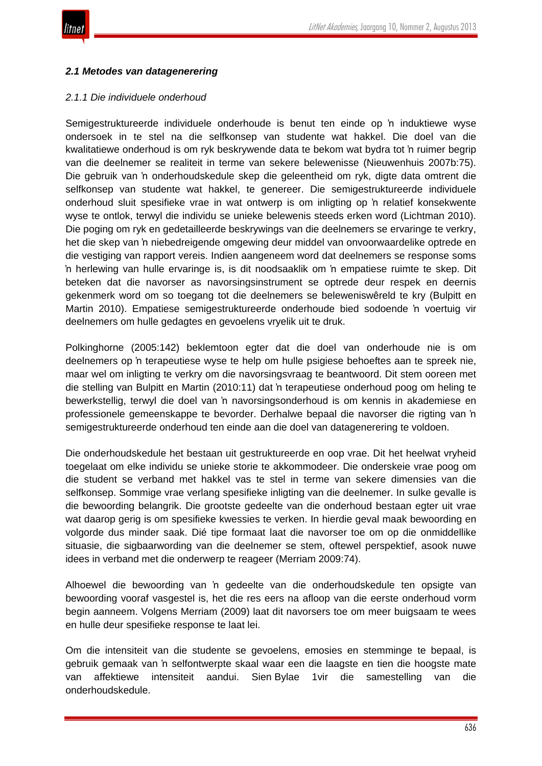

#### *2.1 Metodes van datagenerering*

#### *2.1.1 Die individuele onderhoud*

Semigestruktureerde individuele onderhoude is benut ten einde op 'n induktiewe wyse ondersoek in te stel na die selfkonsep van studente wat hakkel. Die doel van die kwalitatiewe onderhoud is om ryk beskrywende data te bekom wat bydra tot 'n ruimer begrip van die deelnemer se realiteit in terme van sekere belewenisse (Nieuwenhuis 2007b:75). Die gebruik van 'n onderhoudskedule skep die geleentheid om ryk, digte data omtrent die selfkonsep van studente wat hakkel, te genereer. Die semigestruktureerde individuele onderhoud sluit spesifieke vrae in wat ontwerp is om inligting op 'n relatief konsekwente wyse te ontlok, terwyl die individu se unieke belewenis steeds erken word (Lichtman 2010). Die poging om ryk en gedetailleerde beskrywings van die deelnemers se ervaringe te verkry, het die skep van 'n niebedreigende omgewing deur middel van onvoorwaardelike optrede en die vestiging van rapport vereis. Indien aangeneem word dat deelnemers se response soms 'n herlewing van hulle ervaringe is, is dit noodsaaklik om 'n empatiese ruimte te skep. Dit beteken dat die navorser as navorsingsinstrument se optrede deur respek en deernis gekenmerk word om so toegang tot die deelnemers se beleweniswêreld te kry (Bulpitt en Martin 2010). Empatiese semigestruktureerde onderhoude bied sodoende 'n voertuig vir deelnemers om hulle gedagtes en gevoelens vryelik uit te druk.

Polkinghorne (2005:142) beklemtoon egter dat die doel van onderhoude nie is om deelnemers op 'n terapeutiese wyse te help om hulle psigiese behoeftes aan te spreek nie, maar wel om inligting te verkry om die navorsingsvraag te beantwoord. Dit stem ooreen met die stelling van Bulpitt en Martin (2010:11) dat 'n terapeutiese onderhoud poog om heling te bewerkstellig, terwyl die doel van 'n navorsingsonderhoud is om kennis in akademiese en professionele gemeenskappe te bevorder. Derhalwe bepaal die navorser die rigting van 'n semigestruktureerde onderhoud ten einde aan die doel van datagenerering te voldoen.

Die onderhoudskedule het bestaan uit gestruktureerde en oop vrae. Dit het heelwat vryheid toegelaat om elke individu se unieke storie te akkommodeer. Die onderskeie vrae poog om die student se verband met hakkel vas te stel in terme van sekere dimensies van die selfkonsep. Sommige vrae verlang spesifieke inligting van die deelnemer. In sulke gevalle is die bewoording belangrik. Die grootste gedeelte van die onderhoud bestaan egter uit vrae wat daarop gerig is om spesifieke kwessies te verken. In hierdie geval maak bewoording en volgorde dus minder saak. Dié tipe formaat laat die navorser toe om op die onmiddellike situasie, die sigbaarwording van die deelnemer se stem, oftewel perspektief, asook nuwe idees in verband met die onderwerp te reageer (Merriam 2009:74).

Alhoewel die bewoording van 'n gedeelte van die onderhoudskedule ten opsigte van bewoording vooraf vasgestel is, het die res eers na afloop van die eerste onderhoud vorm begin aanneem. Volgens Merriam (2009) laat dit navorsers toe om meer buigsaam te wees en hulle deur spesifieke response te laat lei.

Om die intensiteit van die studente se gevoelens, emosies en stemminge te bepaal, is gebruik gemaak van 'n selfontwerpte skaal waar een die laagste en tien die hoogste mate van affektiewe intensiteit aandui. Sien Bylae 1vir die samestelling van die onderhoudskedule.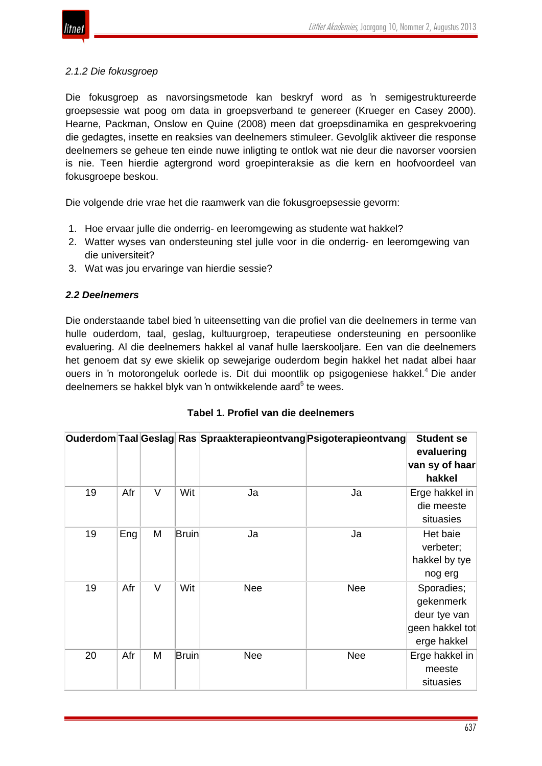

### *2.1.2 Die fokusgroep*

Die fokusgroep as navorsingsmetode kan beskryf word as 'n semigestruktureerde groepsessie wat poog om data in groepsverband te genereer (Krueger en Casey 2000). Hearne, Packman, Onslow en Quine (2008) meen dat groepsdinamika en gesprekvoering die gedagtes, insette en reaksies van deelnemers stimuleer. Gevolglik aktiveer die response deelnemers se geheue ten einde nuwe inligting te ontlok wat nie deur die navorser voorsien is nie. Teen hierdie agtergrond word groepinteraksie as die kern en hoofvoordeel van fokusgroepe beskou.

Die volgende drie vrae het die raamwerk van die fokusgroepsessie gevorm:

- 1. Hoe ervaar julle die onderrig- en leeromgewing as studente wat hakkel?
- 2. Watter wyses van ondersteuning stel julle voor in die onderrig- en leeromgewing van die universiteit?
- 3. Wat was jou ervaringe van hierdie sessie?

### *2.2 Deelnemers*

Die onderstaande tabel bied 'n uiteensetting van die profiel van die deelnemers in terme van hulle ouderdom, taal, geslag, kultuurgroep, terapeutiese ondersteuning en persoonlike evaluering. Al die deelnemers hakkel al vanaf hulle laerskooljare. Een van die deelnemers het genoem dat sy ewe skielik op sewejarige ouderdom begin hakkel het nadat albei haar ouers in 'n motorongeluk oorlede is. Dit dui moontlik op psigogeniese hakkel.<sup>4</sup> Die ander deelnemers se hakkel blyk van 'n ontwikkelende aard<sup>5</sup> te wees.

|    |     |        |              | Ouderdom Taal Geslag Ras Spraakterapieontvang Psigoterapieontvang |            | <b>Student se</b><br>evaluering<br>van sy of haar<br>hakkel               |
|----|-----|--------|--------------|-------------------------------------------------------------------|------------|---------------------------------------------------------------------------|
| 19 | Afr | $\vee$ | Wit          | Ja                                                                | Ja         | Erge hakkel in<br>die meeste<br>situasies                                 |
| 19 | Eng | M      | <b>Bruin</b> | Ja                                                                | Ja         | Het baie<br>verbeter;<br>hakkel by tye<br>nog erg                         |
| 19 | Afr | $\vee$ | Wit          | <b>Nee</b>                                                        | <b>Nee</b> | Sporadies;<br>gekenmerk<br>deur tye van<br>geen hakkel tot<br>erge hakkel |
| 20 | Afr | M      | <b>Bruin</b> | <b>Nee</b>                                                        | <b>Nee</b> | Erge hakkel in<br>meeste<br>situasies                                     |

|  |  |  | Tabel 1. Profiel van die deelnemers |
|--|--|--|-------------------------------------|
|--|--|--|-------------------------------------|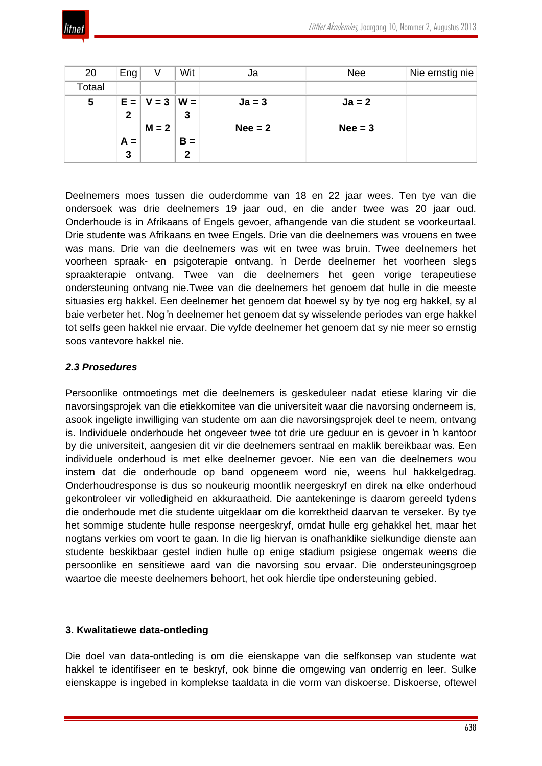

| 20     | Eng          | V       | Wit          | Ja        | <b>Nee</b> | Nie ernstig nie |
|--------|--------------|---------|--------------|-----------|------------|-----------------|
| Totaal |              |         |              |           |            |                 |
| 5      | $E =$        | $V = 3$ | $W =$        | $Ja = 3$  | $Ja = 2$   |                 |
|        | $\mathbf{2}$ |         | 3            |           |            |                 |
|        |              | $M = 2$ |              | $Nee = 2$ | $Nee = 3$  |                 |
|        | $A =$        |         | $B =$        |           |            |                 |
|        | 3            |         | $\mathbf{2}$ |           |            |                 |

Deelnemers moes tussen die ouderdomme van 18 en 22 jaar wees. Ten tye van die ondersoek was drie deelnemers 19 jaar oud, en die ander twee was 20 jaar oud. Onderhoude is in Afrikaans of Engels gevoer, afhangende van die student se voorkeurtaal. Drie studente was Afrikaans en twee Engels. Drie van die deelnemers was vrouens en twee was mans. Drie van die deelnemers was wit en twee was bruin. Twee deelnemers het voorheen spraak- en psigoterapie ontvang. 'n Derde deelnemer het voorheen slegs spraakterapie ontvang. Twee van die deelnemers het geen vorige terapeutiese ondersteuning ontvang nie.Twee van die deelnemers het genoem dat hulle in die meeste situasies erg hakkel. Een deelnemer het genoem dat hoewel sy by tye nog erg hakkel, sy al baie verbeter het. Nog 'n deelnemer het genoem dat sy wisselende periodes van erge hakkel tot selfs geen hakkel nie ervaar. Die vyfde deelnemer het genoem dat sy nie meer so ernstig soos vantevore hakkel nie.

## *2.3 Prosedures*

Persoonlike ontmoetings met die deelnemers is geskeduleer nadat etiese klaring vir die navorsingsprojek van die etiekkomitee van die universiteit waar die navorsing onderneem is, asook ingeligte inwilliging van studente om aan die navorsingsprojek deel te neem, ontvang is. Individuele onderhoude het ongeveer twee tot drie ure geduur en is gevoer in 'n kantoor by die universiteit, aangesien dit vir die deelnemers sentraal en maklik bereikbaar was. Een individuele onderhoud is met elke deelnemer gevoer. Nie een van die deelnemers wou instem dat die onderhoude op band opgeneem word nie, weens hul hakkelgedrag. Onderhoudresponse is dus so noukeurig moontlik neergeskryf en direk na elke onderhoud gekontroleer vir volledigheid en akkuraatheid. Die aantekeninge is daarom gereeld tydens die onderhoude met die studente uitgeklaar om die korrektheid daarvan te verseker. By tye het sommige studente hulle response neergeskryf, omdat hulle erg gehakkel het, maar het nogtans verkies om voort te gaan. In die lig hiervan is onafhanklike sielkundige dienste aan studente beskikbaar gestel indien hulle op enige stadium psigiese ongemak weens die persoonlike en sensitiewe aard van die navorsing sou ervaar. Die ondersteuningsgroep waartoe die meeste deelnemers behoort, het ook hierdie tipe ondersteuning gebied.

### **3. Kwalitatiewe data-ontleding**

Die doel van data-ontleding is om die eienskappe van die selfkonsep van studente wat hakkel te identifiseer en te beskryf, ook binne die omgewing van onderrig en leer. Sulke eienskappe is ingebed in komplekse taaldata in die vorm van diskoerse. Diskoerse, oftewel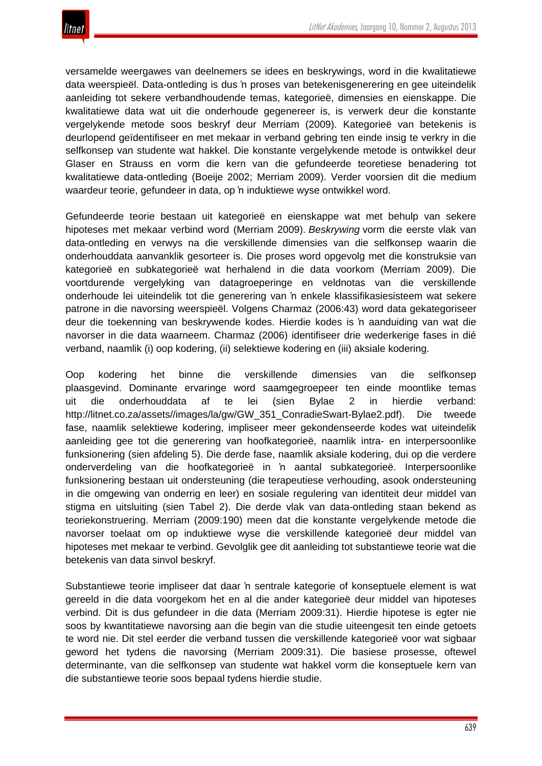

versamelde weergawes van deelnemers se idees en beskrywings, word in die kwalitatiewe data weerspieël. Data-ontleding is dus 'n proses van betekenisgenerering en gee uiteindelik aanleiding tot sekere verbandhoudende temas, kategorieë, dimensies en eienskappe. Die kwalitatiewe data wat uit die onderhoude gegenereer is, is verwerk deur die konstante vergelykende metode soos beskryf deur Merriam (2009). Kategorieë van betekenis is deurlopend geïdentifiseer en met mekaar in verband gebring ten einde insig te verkry in die selfkonsep van studente wat hakkel. Die konstante vergelykende metode is ontwikkel deur Glaser en Strauss en vorm die kern van die gefundeerde teoretiese benadering tot kwalitatiewe data-ontleding (Boeije 2002; Merriam 2009). Verder voorsien dit die medium waardeur teorie, gefundeer in data, op 'n induktiewe wyse ontwikkel word.

Gefundeerde teorie bestaan uit kategorieë en eienskappe wat met behulp van sekere hipoteses met mekaar verbind word (Merriam 2009). *Beskrywing* vorm die eerste vlak van data-ontleding en verwys na die verskillende dimensies van die selfkonsep waarin die onderhouddata aanvanklik gesorteer is. Die proses word opgevolg met die konstruksie van kategorieë en subkategorieë wat herhalend in die data voorkom (Merriam 2009). Die voortdurende vergelyking van datagroeperinge en veldnotas van die verskillende onderhoude lei uiteindelik tot die generering van 'n enkele klassifikasiesisteem wat sekere patrone in die navorsing weerspieël. Volgens Charmaz (2006:43) word data gekategoriseer deur die toekenning van beskrywende kodes. Hierdie kodes is 'n aanduiding van wat die navorser in die data waarneem. Charmaz (2006) identifiseer drie wederkerige fases in dié verband, naamlik (i) oop kodering, (ii) selektiewe kodering en (iii) aksiale kodering.

Oop kodering het binne die verskillende dimensies van die selfkonsep plaasgevind. Dominante ervaringe word saamgegroepeer ten einde moontlike temas uit die onderhouddata af te lei (sien Bylae 2 in hierdie verband: http://litnet.co.za/assets//images/la/gw/GW\_351\_ConradieSwart-Bylae2.pdf). Die tweede fase, naamlik selektiewe kodering, impliseer meer gekondenseerde kodes wat uiteindelik aanleiding gee tot die generering van hoofkategorieë, naamlik intra- en interpersoonlike funksionering (sien afdeling 5). Die derde fase, naamlik aksiale kodering, dui op die verdere onderverdeling van die hoofkategorieë in 'n aantal subkategorieë. Interpersoonlike funksionering bestaan uit ondersteuning (die terapeutiese verhouding, asook ondersteuning in die omgewing van onderrig en leer) en sosiale regulering van identiteit deur middel van stigma en uitsluiting (sien Tabel 2). Die derde vlak van data-ontleding staan bekend as teoriekonstruering. Merriam (2009:190) meen dat die konstante vergelykende metode die navorser toelaat om op induktiewe wyse die verskillende kategorieë deur middel van hipoteses met mekaar te verbind. Gevolglik gee dit aanleiding tot substantiewe teorie wat die betekenis van data sinvol beskryf.

Substantiewe teorie impliseer dat daar 'n sentrale kategorie of konseptuele element is wat gereeld in die data voorgekom het en al die ander kategorieë deur middel van hipoteses verbind. Dit is dus gefundeer in die data (Merriam 2009:31). Hierdie hipotese is egter nie soos by kwantitatiewe navorsing aan die begin van die studie uiteengesit ten einde getoets te word nie. Dit stel eerder die verband tussen die verskillende kategorieë voor wat sigbaar geword het tydens die navorsing (Merriam 2009:31). Die basiese prosesse, oftewel determinante, van die selfkonsep van studente wat hakkel vorm die konseptuele kern van die substantiewe teorie soos bepaal tydens hierdie studie.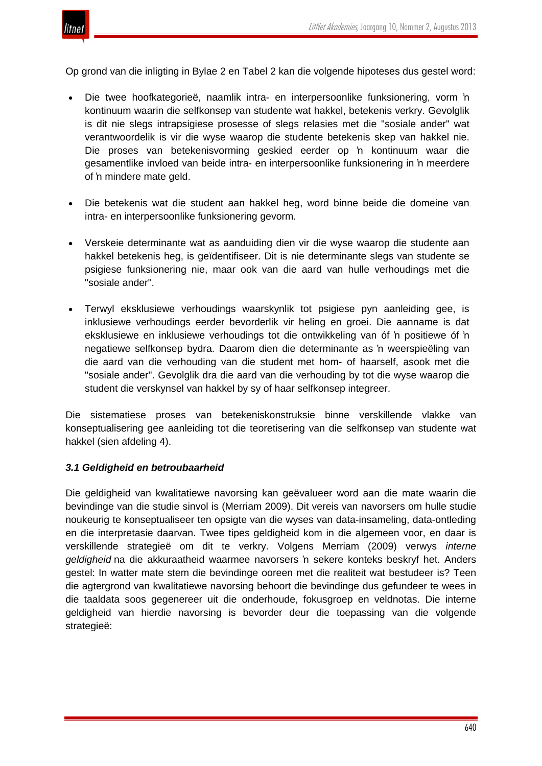

Op grond van die inligting in Bylae 2 en Tabel 2 kan die volgende hipoteses dus gestel word:

- Die twee hoofkategorieë, naamlik intra- en interpersoonlike funksionering, vorm 'n kontinuum waarin die selfkonsep van studente wat hakkel, betekenis verkry. Gevolglik is dit nie slegs intrapsigiese prosesse of slegs relasies met die "sosiale ander" wat verantwoordelik is vir die wyse waarop die studente betekenis skep van hakkel nie. Die proses van betekenisvorming geskied eerder op 'n kontinuum waar die gesamentlike invloed van beide intra- en interpersoonlike funksionering in 'n meerdere of 'n mindere mate geld.
- Die betekenis wat die student aan hakkel heg, word binne beide die domeine van intra- en interpersoonlike funksionering gevorm.
- Verskeie determinante wat as aanduiding dien vir die wyse waarop die studente aan hakkel betekenis heg, is geïdentifiseer. Dit is nie determinante slegs van studente se psigiese funksionering nie, maar ook van die aard van hulle verhoudings met die "sosiale ander".
- Terwyl eksklusiewe verhoudings waarskynlik tot psigiese pyn aanleiding gee, is inklusiewe verhoudings eerder bevorderlik vir heling en groei. Die aanname is dat eksklusiewe en inklusiewe verhoudings tot die ontwikkeling van óf 'n positiewe óf 'n negatiewe selfkonsep bydra. Daarom dien die determinante as 'n weerspieëling van die aard van die verhouding van die student met hom- of haarself, asook met die "sosiale ander". Gevolglik dra die aard van die verhouding by tot die wyse waarop die student die verskynsel van hakkel by sy of haar selfkonsep integreer.

Die sistematiese proses van betekeniskonstruksie binne verskillende vlakke van konseptualisering gee aanleiding tot die teoretisering van die selfkonsep van studente wat hakkel (sien afdeling 4).

### *3.1 Geldigheid en betroubaarheid*

Die geldigheid van kwalitatiewe navorsing kan geëvalueer word aan die mate waarin die bevindinge van die studie sinvol is (Merriam 2009). Dit vereis van navorsers om hulle studie noukeurig te konseptualiseer ten opsigte van die wyses van data-insameling, data-ontleding en die interpretasie daarvan. Twee tipes geldigheid kom in die algemeen voor, en daar is verskillende strategieë om dit te verkry. Volgens Merriam (2009) verwys *interne geldigheid* na die akkuraatheid waarmee navorsers 'n sekere konteks beskryf het. Anders gestel: In watter mate stem die bevindinge ooreen met die realiteit wat bestudeer is? Teen die agtergrond van kwalitatiewe navorsing behoort die bevindinge dus gefundeer te wees in die taaldata soos gegenereer uit die onderhoude, fokusgroep en veldnotas. Die interne geldigheid van hierdie navorsing is bevorder deur die toepassing van die volgende strategieë: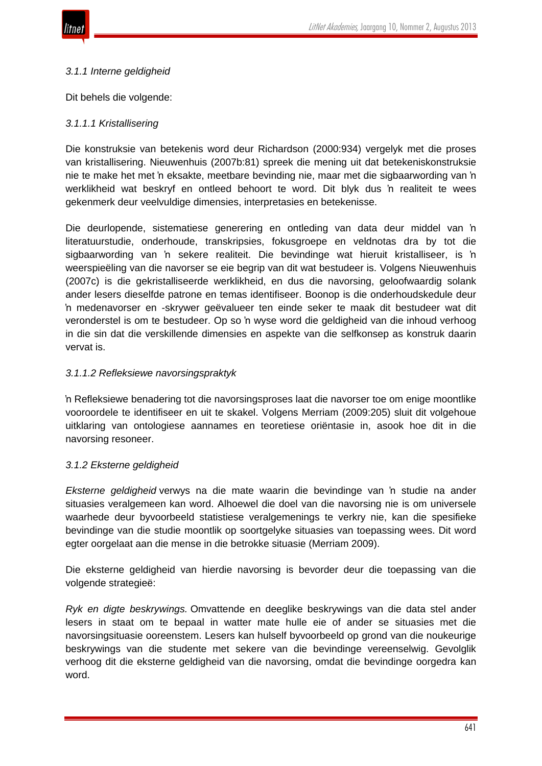

### *3.1.1 Interne geldigheid*

Dit behels die volgende:

## *3.1.1.1 Kristallisering*

Die konstruksie van betekenis word deur Richardson (2000:934) vergelyk met die proses van kristallisering. Nieuwenhuis (2007b:81) spreek die mening uit dat betekeniskonstruksie nie te make het met 'n eksakte, meetbare bevinding nie, maar met die sigbaarwording van 'n werklikheid wat beskryf en ontleed behoort te word. Dit blyk dus 'n realiteit te wees gekenmerk deur veelvuldige dimensies, interpretasies en betekenisse.

Die deurlopende, sistematiese generering en ontleding van data deur middel van 'n literatuurstudie, onderhoude, transkripsies, fokusgroepe en veldnotas dra by tot die sigbaarwording van 'n sekere realiteit. Die bevindinge wat hieruit kristalliseer, is 'n weerspieëling van die navorser se eie begrip van dit wat bestudeer is. Volgens Nieuwenhuis (2007c) is die gekristalliseerde werklikheid, en dus die navorsing, geloofwaardig solank ander lesers dieselfde patrone en temas identifiseer. Boonop is die onderhoudskedule deur 'n medenavorser en -skrywer geëvalueer ten einde seker te maak dit bestudeer wat dit veronderstel is om te bestudeer. Op so 'n wyse word die geldigheid van die inhoud verhoog in die sin dat die verskillende dimensies en aspekte van die selfkonsep as konstruk daarin vervat is.

### *3.1.1.2 Refleksiewe navorsingspraktyk*

'n Refleksiewe benadering tot die navorsingsproses laat die navorser toe om enige moontlike vooroordele te identifiseer en uit te skakel. Volgens Merriam (2009:205) sluit dit volgehoue uitklaring van ontologiese aannames en teoretiese oriëntasie in, asook hoe dit in die navorsing resoneer.

### *3.1.2 Eksterne geldigheid*

*Eksterne geldigheid* verwys na die mate waarin die bevindinge van 'n studie na ander situasies veralgemeen kan word. Alhoewel die doel van die navorsing nie is om universele waarhede deur byvoorbeeld statistiese veralgemenings te verkry nie, kan die spesifieke bevindinge van die studie moontlik op soortgelyke situasies van toepassing wees. Dit word egter oorgelaat aan die mense in die betrokke situasie (Merriam 2009).

Die eksterne geldigheid van hierdie navorsing is bevorder deur die toepassing van die volgende strategieë:

*Ryk en digte beskrywings.* Omvattende en deeglike beskrywings van die data stel ander lesers in staat om te bepaal in watter mate hulle eie of ander se situasies met die navorsingsituasie ooreenstem. Lesers kan hulself byvoorbeeld op grond van die noukeurige beskrywings van die studente met sekere van die bevindinge vereenselwig. Gevolglik verhoog dit die eksterne geldigheid van die navorsing, omdat die bevindinge oorgedra kan word.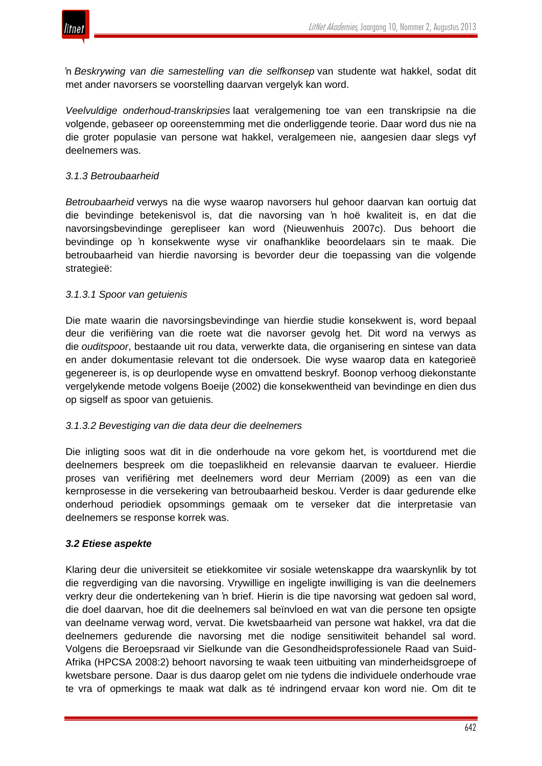

'n *Beskrywing van die samestelling van die selfkonsep* van studente wat hakkel, sodat dit met ander navorsers se voorstelling daarvan vergelyk kan word.

*Veelvuldige onderhoud-transkripsies* laat veralgemening toe van een transkripsie na die volgende, gebaseer op ooreenstemming met die onderliggende teorie. Daar word dus nie na die groter populasie van persone wat hakkel, veralgemeen nie, aangesien daar slegs vyf deelnemers was.

### *3.1.3 Betroubaarheid*

*Betroubaarheid* verwys na die wyse waarop navorsers hul gehoor daarvan kan oortuig dat die bevindinge betekenisvol is, dat die navorsing van 'n hoë kwaliteit is, en dat die navorsingsbevindinge gerepliseer kan word (Nieuwenhuis 2007c). Dus behoort die bevindinge op 'n konsekwente wyse vir onafhanklike beoordelaars sin te maak. Die betroubaarheid van hierdie navorsing is bevorder deur die toepassing van die volgende strategieë:

### *3.1.3.1 Spoor van getuienis*

Die mate waarin die navorsingsbevindinge van hierdie studie konsekwent is, word bepaal deur die verifiëring van die roete wat die navorser gevolg het. Dit word na verwys as die *ouditspoor*, bestaande uit rou data, verwerkte data, die organisering en sintese van data en ander dokumentasie relevant tot die ondersoek. Die wyse waarop data en kategorieë gegenereer is, is op deurlopende wyse en omvattend beskryf. Boonop verhoog diekonstante vergelykende metode volgens Boeije (2002) die konsekwentheid van bevindinge en dien dus op sigself as spoor van getuienis.

### *3.1.3.2 Bevestiging van die data deur die deelnemers*

Die inligting soos wat dit in die onderhoude na vore gekom het, is voortdurend met die deelnemers bespreek om die toepaslikheid en relevansie daarvan te evalueer. Hierdie proses van verifiëring met deelnemers word deur Merriam (2009) as een van die kernprosesse in die versekering van betroubaarheid beskou. Verder is daar gedurende elke onderhoud periodiek opsommings gemaak om te verseker dat die interpretasie van deelnemers se response korrek was.

### *3.2 Etiese aspekte*

Klaring deur die universiteit se etiekkomitee vir sosiale wetenskappe dra waarskynlik by tot die regverdiging van die navorsing. Vrywillige en ingeligte inwilliging is van die deelnemers verkry deur die ondertekening van 'n brief. Hierin is die tipe navorsing wat gedoen sal word, die doel daarvan, hoe dit die deelnemers sal beïnvloed en wat van die persone ten opsigte van deelname verwag word, vervat. Die kwetsbaarheid van persone wat hakkel, vra dat die deelnemers gedurende die navorsing met die nodige sensitiwiteit behandel sal word. Volgens die Beroepsraad vir Sielkunde van die Gesondheidsprofessionele Raad van Suid-Afrika (HPCSA 2008:2) behoort navorsing te waak teen uitbuiting van minderheidsgroepe of kwetsbare persone. Daar is dus daarop gelet om nie tydens die individuele onderhoude vrae te vra of opmerkings te maak wat dalk as té indringend ervaar kon word nie. Om dit te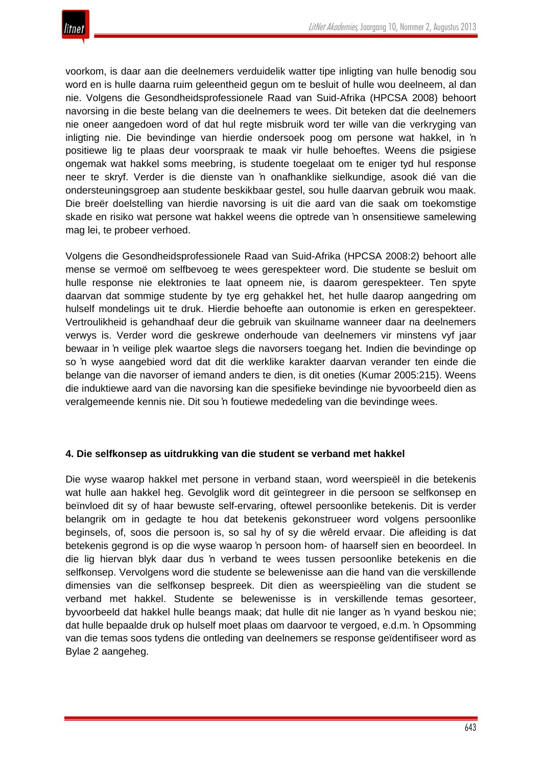

voorkom, is daar aan die deelnemers verduidelik watter tipe inligting van hulle benodig sou word en is hulle daarna ruim geleentheid gegun om te besluit of hulle wou deelneem, al dan nie. Volgens die Gesondheidsprofessionele Raad van Suid-Afrika (HPCSA 2008) behoort navorsing in die beste belang van die deelnemers te wees. Dit beteken dat die deelnemers nie oneer aangedoen word of dat hul regte misbruik word ter wille van die verkryging van inligting nie. Die bevindinge van hierdie ondersoek poog om persone wat hakkel, in 'n positiewe lig te plaas deur voorspraak te maak vir hulle behoeftes. Weens die psigiese ongemak wat hakkel soms meebring, is studente toegelaat om te eniger tyd hul response neer te skryf. Verder is die dienste van 'n onafhanklike sielkundige, asook dié van die ondersteuningsgroep aan studente beskikbaar gestel, sou hulle daarvan gebruik wou maak. Die breër doelstelling van hierdie navorsing is uit die aard van die saak om toekomstige skade en risiko wat persone wat hakkel weens die optrede van 'n onsensitiewe samelewing mag lei, te probeer verhoed.

Volgens die Gesondheidsprofessionele Raad van Suid-Afrika (HPCSA 2008:2) behoort alle mense se vermoë om selfbevoeg te wees gerespekteer word. Die studente se besluit om hulle response nie elektronies te laat opneem nie, is daarom gerespekteer. Ten spyte daarvan dat sommige studente by tye erg gehakkel het, het hulle daarop aangedring om hulself mondelings uit te druk. Hierdie behoefte aan outonomie is erken en gerespekteer. Vertroulikheid is gehandhaaf deur die gebruik van skuilname wanneer daar na deelnemers verwys is. Verder word die geskrewe onderhoude van deelnemers vir minstens vyf jaar bewaar in 'n veilige plek waartoe slegs die navorsers toegang het. Indien die bevindinge op so 'n wyse aangebied word dat dit die werklike karakter daarvan verander ten einde die belange van die navorser of iemand anders te dien, is dit oneties (Kumar 2005:215). Weens die induktiewe aard van die navorsing kan die spesifieke bevindinge nie byvoorbeeld dien as veralgemeende kennis nie. Dit sou 'n foutiewe mededeling van die bevindinge wees.

#### **4. Die selfkonsep as uitdrukking van die student se verband met hakkel**

Die wyse waarop hakkel met persone in verband staan, word weerspieël in die betekenis wat hulle aan hakkel heg. Gevolglik word dit geïntegreer in die persoon se selfkonsep en beïnvloed dit sy of haar bewuste self-ervaring, oftewel persoonlike betekenis. Dit is verder belangrik om in gedagte te hou dat betekenis gekonstrueer word volgens persoonlike beginsels, of, soos die persoon is, so sal hy of sy die wêreld ervaar. Die afleiding is dat betekenis gegrond is op die wyse waarop 'n persoon hom- of haarself sien en beoordeel. In die lig hiervan blyk daar dus 'n verband te wees tussen persoonlike betekenis en die selfkonsep. Vervolgens word die studente se belewenisse aan die hand van die verskillende dimensies van die selfkonsep bespreek. Dit dien as weerspieëling van die student se verband met hakkel. Studente se belewenisse is in verskillende temas gesorteer, byvoorbeeld dat hakkel hulle beangs maak; dat hulle dit nie langer as 'n vyand beskou nie; dat hulle bepaalde druk op hulself moet plaas om daarvoor te vergoed, e.d.m. 'n Opsomming van die temas soos tydens die ontleding van deelnemers se response geïdentifiseer word as Bylae 2 aangeheg.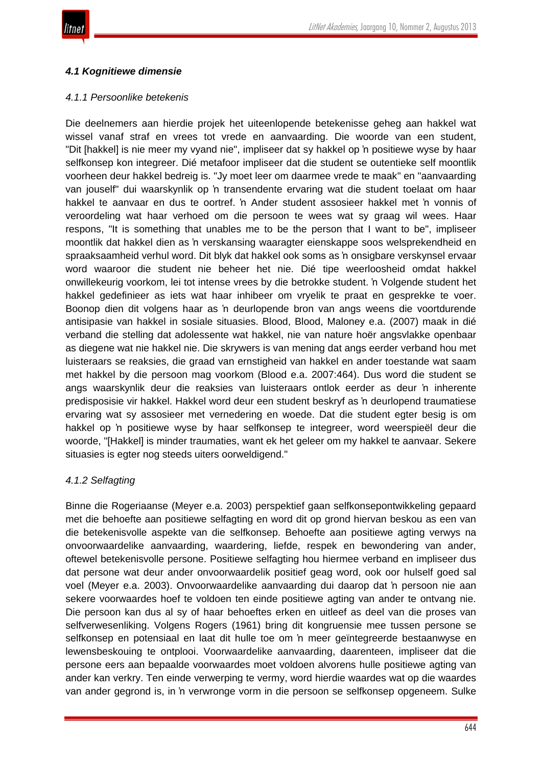

# *4.1 Kognitiewe dimensie*

### *4.1.1 Persoonlike betekenis*

Die deelnemers aan hierdie projek het uiteenlopende betekenisse geheg aan hakkel wat wissel vanaf straf en vrees tot vrede en aanvaarding. Die woorde van een student, "Dit [hakkel] is nie meer my vyand nie", impliseer dat sy hakkel op 'n positiewe wyse by haar selfkonsep kon integreer. Dié metafoor impliseer dat die student se outentieke self moontlik voorheen deur hakkel bedreig is. "Jy moet leer om daarmee vrede te maak" en "aanvaarding van jouself" dui waarskynlik op 'n transendente ervaring wat die student toelaat om haar hakkel te aanvaar en dus te oortref. 'n Ander student assosieer hakkel met 'n vonnis of veroordeling wat haar verhoed om die persoon te wees wat sy graag wil wees. Haar respons, "It is something that unables me to be the person that I want to be", impliseer moontlik dat hakkel dien as 'n verskansing waaragter eienskappe soos welsprekendheid en spraaksaamheid verhul word. Dit blyk dat hakkel ook soms as 'n onsigbare verskynsel ervaar word waaroor die student nie beheer het nie. Dié tipe weerloosheid omdat hakkel onwillekeurig voorkom, lei tot intense vrees by die betrokke student. 'n Volgende student het hakkel gedefinieer as iets wat haar inhibeer om vryelik te praat en gesprekke te voer. Boonop dien dit volgens haar as 'n deurlopende bron van angs weens die voortdurende antisipasie van hakkel in sosiale situasies. Blood, Blood, Maloney e.a. (2007) maak in dié verband die stelling dat adolessente wat hakkel, nie van nature hoër angsvlakke openbaar as diegene wat nie hakkel nie. Die skrywers is van mening dat angs eerder verband hou met luisteraars se reaksies, die graad van ernstigheid van hakkel en ander toestande wat saam met hakkel by die persoon mag voorkom (Blood e.a. 2007:464). Dus word die student se angs waarskynlik deur die reaksies van luisteraars ontlok eerder as deur 'n inherente predisposisie vir hakkel. Hakkel word deur een student beskryf as 'n deurlopend traumatiese ervaring wat sy assosieer met vernedering en woede. Dat die student egter besig is om hakkel op 'n positiewe wyse by haar selfkonsep te integreer, word weerspieël deur die woorde, "[Hakkel] is minder traumaties, want ek het geleer om my hakkel te aanvaar. Sekere situasies is egter nog steeds uiters oorweldigend."

# *4.1.2 Selfagting*

Binne die Rogeriaanse (Meyer e.a. 2003) perspektief gaan selfkonsepontwikkeling gepaard met die behoefte aan positiewe selfagting en word dit op grond hiervan beskou as een van die betekenisvolle aspekte van die selfkonsep. Behoefte aan positiewe agting verwys na onvoorwaardelike aanvaarding, waardering, liefde, respek en bewondering van ander, oftewel betekenisvolle persone. Positiewe selfagting hou hiermee verband en impliseer dus dat persone wat deur ander onvoorwaardelik positief geag word, ook oor hulself goed sal voel (Meyer e.a. 2003). Onvoorwaardelike aanvaarding dui daarop dat 'n persoon nie aan sekere voorwaardes hoef te voldoen ten einde positiewe agting van ander te ontvang nie. Die persoon kan dus al sy of haar behoeftes erken en uitleef as deel van die proses van selfverwesenliking. Volgens Rogers (1961) bring dit kongruensie mee tussen persone se selfkonsep en potensiaal en laat dit hulle toe om 'n meer geïntegreerde bestaanwyse en lewensbeskouing te ontplooi. Voorwaardelike aanvaarding, daarenteen, impliseer dat die persone eers aan bepaalde voorwaardes moet voldoen alvorens hulle positiewe agting van ander kan verkry. Ten einde verwerping te vermy, word hierdie waardes wat op die waardes van ander gegrond is, in 'n verwronge vorm in die persoon se selfkonsep opgeneem. Sulke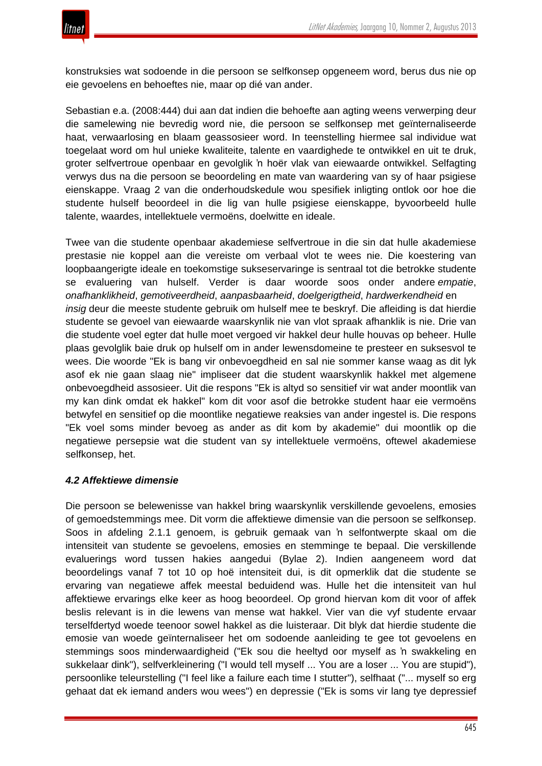

konstruksies wat sodoende in die persoon se selfkonsep opgeneem word, berus dus nie op eie gevoelens en behoeftes nie, maar op dié van ander.

Sebastian e.a. (2008:444) dui aan dat indien die behoefte aan agting weens verwerping deur die samelewing nie bevredig word nie, die persoon se selfkonsep met geïnternaliseerde haat, verwaarlosing en blaam geassosieer word. In teenstelling hiermee sal individue wat toegelaat word om hul unieke kwaliteite, talente en vaardighede te ontwikkel en uit te druk, groter selfvertroue openbaar en gevolglik 'n hoër vlak van eiewaarde ontwikkel. Selfagting verwys dus na die persoon se beoordeling en mate van waardering van sy of haar psigiese eienskappe. Vraag 2 van die onderhoudskedule wou spesifiek inligting ontlok oor hoe die studente hulself beoordeel in die lig van hulle psigiese eienskappe, byvoorbeeld hulle talente, waardes, intellektuele vermoëns, doelwitte en ideale.

Twee van die studente openbaar akademiese selfvertroue in die sin dat hulle akademiese prestasie nie koppel aan die vereiste om verbaal vlot te wees nie. Die koestering van loopbaangerigte ideale en toekomstige sukseservaringe is sentraal tot die betrokke studente se evaluering van hulself. Verder is daar woorde soos onder andere *empatie*, *onafhanklikheid*, *gemotiveerdheid*, *aanpasbaarheid*, *doelgerigtheid*, *hardwerkendheid* en *insig* deur die meeste studente gebruik om hulself mee te beskryf. Die afleiding is dat hierdie studente se gevoel van eiewaarde waarskynlik nie van vlot spraak afhanklik is nie. Drie van die studente voel egter dat hulle moet vergoed vir hakkel deur hulle houvas op beheer. Hulle plaas gevolglik baie druk op hulself om in ander lewensdomeine te presteer en suksesvol te wees. Die woorde "Ek is bang vir onbevoegdheid en sal nie sommer kanse waag as dit lyk asof ek nie gaan slaag nie" impliseer dat die student waarskynlik hakkel met algemene onbevoegdheid assosieer. Uit die respons "Ek is altyd so sensitief vir wat ander moontlik van my kan dink omdat ek hakkel" kom dit voor asof die betrokke student haar eie vermoëns betwyfel en sensitief op die moontlike negatiewe reaksies van ander ingestel is. Die respons "Ek voel soms minder bevoeg as ander as dit kom by akademie" dui moontlik op die negatiewe persepsie wat die student van sy intellektuele vermoëns, oftewel akademiese selfkonsep, het.

### *4.2 Affektiewe dimensie*

Die persoon se belewenisse van hakkel bring waarskynlik verskillende gevoelens, emosies of gemoedstemmings mee. Dit vorm die affektiewe dimensie van die persoon se selfkonsep. Soos in afdeling 2.1.1 genoem, is gebruik gemaak van 'n selfontwerpte skaal om die intensiteit van studente se gevoelens, emosies en stemminge te bepaal. Die verskillende evaluerings word tussen hakies aangedui (Bylae 2). Indien aangeneem word dat beoordelings vanaf 7 tot 10 op hoë intensiteit dui, is dit opmerklik dat die studente se ervaring van negatiewe affek meestal beduidend was. Hulle het die intensiteit van hul affektiewe ervarings elke keer as hoog beoordeel. Op grond hiervan kom dit voor of affek beslis relevant is in die lewens van mense wat hakkel. Vier van die vyf studente ervaar terselfdertyd woede teenoor sowel hakkel as die luisteraar. Dit blyk dat hierdie studente die emosie van woede geïnternaliseer het om sodoende aanleiding te gee tot gevoelens en stemmings soos minderwaardigheid ("Ek sou die heeltyd oor myself as 'n swakkeling en sukkelaar dink"), selfverkleinering ("I would tell myself ... You are a loser ... You are stupid"), persoonlike teleurstelling ("I feel like a failure each time I stutter"), selfhaat ("... myself so erg gehaat dat ek iemand anders wou wees") en depressie ("Ek is soms vir lang tye depressief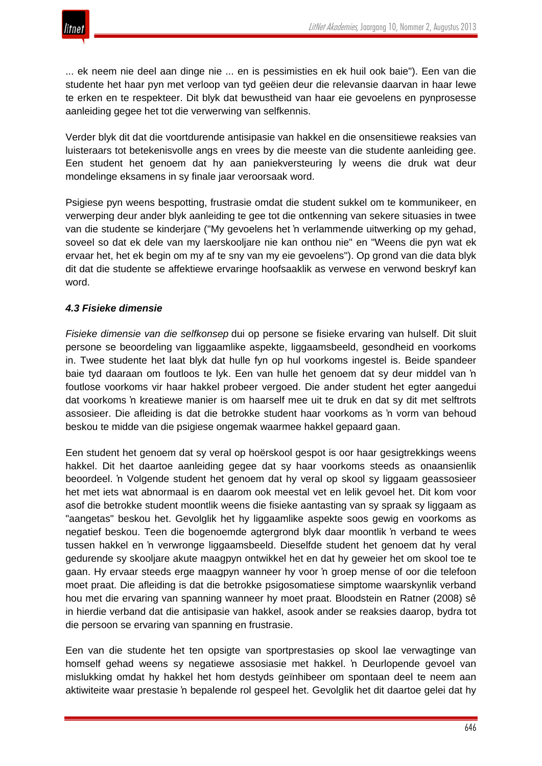

... ek neem nie deel aan dinge nie ... en is pessimisties en ek huil ook baie"). Een van die studente het haar pyn met verloop van tyd geëien deur die relevansie daarvan in haar lewe te erken en te respekteer. Dit blyk dat bewustheid van haar eie gevoelens en pynprosesse aanleiding gegee het tot die verwerwing van selfkennis.

Verder blyk dit dat die voortdurende antisipasie van hakkel en die onsensitiewe reaksies van luisteraars tot betekenisvolle angs en vrees by die meeste van die studente aanleiding gee. Een student het genoem dat hy aan paniekversteuring ly weens die druk wat deur mondelinge eksamens in sy finale jaar veroorsaak word.

Psigiese pyn weens bespotting, frustrasie omdat die student sukkel om te kommunikeer, en verwerping deur ander blyk aanleiding te gee tot die ontkenning van sekere situasies in twee van die studente se kinderjare ("My gevoelens het 'n verlammende uitwerking op my gehad, soveel so dat ek dele van my laerskooljare nie kan onthou nie" en "Weens die pyn wat ek ervaar het, het ek begin om my af te sny van my eie gevoelens"). Op grond van die data blyk dit dat die studente se affektiewe ervaringe hoofsaaklik as verwese en verwond beskryf kan word.

## *4.3 Fisieke dimensie*

*Fisieke dimensie van die selfkonsep* dui op persone se fisieke ervaring van hulself. Dit sluit persone se beoordeling van liggaamlike aspekte, liggaamsbeeld, gesondheid en voorkoms in. Twee studente het laat blyk dat hulle fyn op hul voorkoms ingestel is. Beide spandeer baie tyd daaraan om foutloos te lyk. Een van hulle het genoem dat sy deur middel van 'n foutlose voorkoms vir haar hakkel probeer vergoed. Die ander student het egter aangedui dat voorkoms 'n kreatiewe manier is om haarself mee uit te druk en dat sy dit met selftrots assosieer. Die afleiding is dat die betrokke student haar voorkoms as 'n vorm van behoud beskou te midde van die psigiese ongemak waarmee hakkel gepaard gaan.

Een student het genoem dat sy veral op hoërskool gespot is oor haar gesigtrekkings weens hakkel. Dit het daartoe aanleiding gegee dat sy haar voorkoms steeds as onaansienlik beoordeel. 'n Volgende student het genoem dat hy veral op skool sy liggaam geassosieer het met iets wat abnormaal is en daarom ook meestal vet en lelik gevoel het. Dit kom voor asof die betrokke student moontlik weens die fisieke aantasting van sy spraak sy liggaam as "aangetas" beskou het. Gevolglik het hy liggaamlike aspekte soos gewig en voorkoms as negatief beskou. Teen die bogenoemde agtergrond blyk daar moontlik 'n verband te wees tussen hakkel en 'n verwronge liggaamsbeeld. Dieselfde student het genoem dat hy veral gedurende sy skooljare akute maagpyn ontwikkel het en dat hy geweier het om skool toe te gaan. Hy ervaar steeds erge maagpyn wanneer hy voor 'n groep mense of oor die telefoon moet praat. Die afleiding is dat die betrokke psigosomatiese simptome waarskynlik verband hou met die ervaring van spanning wanneer hy moet praat. Bloodstein en Ratner (2008) sê in hierdie verband dat die antisipasie van hakkel, asook ander se reaksies daarop, bydra tot die persoon se ervaring van spanning en frustrasie.

Een van die studente het ten opsigte van sportprestasies op skool lae verwagtinge van homself gehad weens sy negatiewe assosiasie met hakkel. 'n Deurlopende gevoel van mislukking omdat hy hakkel het hom destyds geïnhibeer om spontaan deel te neem aan aktiwiteite waar prestasie 'n bepalende rol gespeel het. Gevolglik het dit daartoe gelei dat hy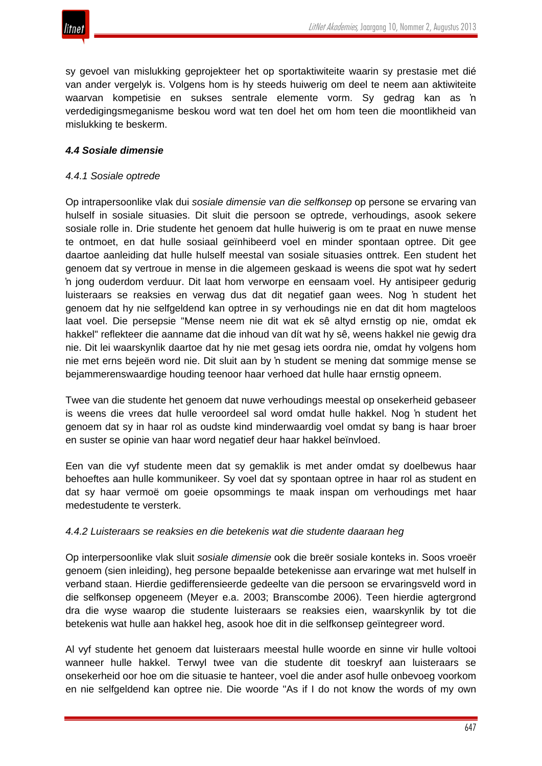

sy gevoel van mislukking geprojekteer het op sportaktiwiteite waarin sy prestasie met dié van ander vergelyk is. Volgens hom is hy steeds huiwerig om deel te neem aan aktiwiteite waarvan kompetisie en sukses sentrale elemente vorm. Sy gedrag kan as 'n verdedigingsmeganisme beskou word wat ten doel het om hom teen die moontlikheid van mislukking te beskerm.

## *4.4 Sosiale dimensie*

#### *4.4.1 Sosiale optrede*

Op intrapersoonlike vlak dui *sosiale dimensie van die selfkonsep* op persone se ervaring van hulself in sosiale situasies. Dit sluit die persoon se optrede, verhoudings, asook sekere sosiale rolle in. Drie studente het genoem dat hulle huiwerig is om te praat en nuwe mense te ontmoet, en dat hulle sosiaal geïnhibeerd voel en minder spontaan optree. Dit gee daartoe aanleiding dat hulle hulself meestal van sosiale situasies onttrek. Een student het genoem dat sy vertroue in mense in die algemeen geskaad is weens die spot wat hy sedert 'n jong ouderdom verduur. Dit laat hom verworpe en eensaam voel. Hy antisipeer gedurig luisteraars se reaksies en verwag dus dat dit negatief gaan wees. Nog 'n student het genoem dat hy nie selfgeldend kan optree in sy verhoudings nie en dat dit hom magteloos laat voel. Die persepsie "Mense neem nie dit wat ek sê altyd ernstig op nie, omdat ek hakkel" reflekteer die aanname dat die inhoud van dít wat hy sê, weens hakkel nie gewig dra nie. Dit lei waarskynlik daartoe dat hy nie met gesag iets oordra nie, omdat hy volgens hom nie met erns bejeën word nie. Dit sluit aan by 'n student se mening dat sommige mense se bejammerenswaardige houding teenoor haar verhoed dat hulle haar ernstig opneem.

Twee van die studente het genoem dat nuwe verhoudings meestal op onsekerheid gebaseer is weens die vrees dat hulle veroordeel sal word omdat hulle hakkel. Nog 'n student het genoem dat sy in haar rol as oudste kind minderwaardig voel omdat sy bang is haar broer en suster se opinie van haar word negatief deur haar hakkel beïnvloed.

Een van die vyf studente meen dat sy gemaklik is met ander omdat sy doelbewus haar behoeftes aan hulle kommunikeer. Sy voel dat sy spontaan optree in haar rol as student en dat sy haar vermoë om goeie opsommings te maak inspan om verhoudings met haar medestudente te versterk.

#### *4.4.2 Luisteraars se reaksies en die betekenis wat die studente daaraan heg*

Op interpersoonlike vlak sluit *sosiale dimensie* ook die breër sosiale konteks in. Soos vroeër genoem (sien inleiding), heg persone bepaalde betekenisse aan ervaringe wat met hulself in verband staan. Hierdie gedifferensieerde gedeelte van die persoon se ervaringsveld word in die selfkonsep opgeneem (Meyer e.a. 2003; Branscombe 2006). Teen hierdie agtergrond dra die wyse waarop die studente luisteraars se reaksies eien, waarskynlik by tot die betekenis wat hulle aan hakkel heg, asook hoe dit in die selfkonsep geïntegreer word.

Al vyf studente het genoem dat luisteraars meestal hulle woorde en sinne vir hulle voltooi wanneer hulle hakkel. Terwyl twee van die studente dit toeskryf aan luisteraars se onsekerheid oor hoe om die situasie te hanteer, voel die ander asof hulle onbevoeg voorkom en nie selfgeldend kan optree nie. Die woorde "As if I do not know the words of my own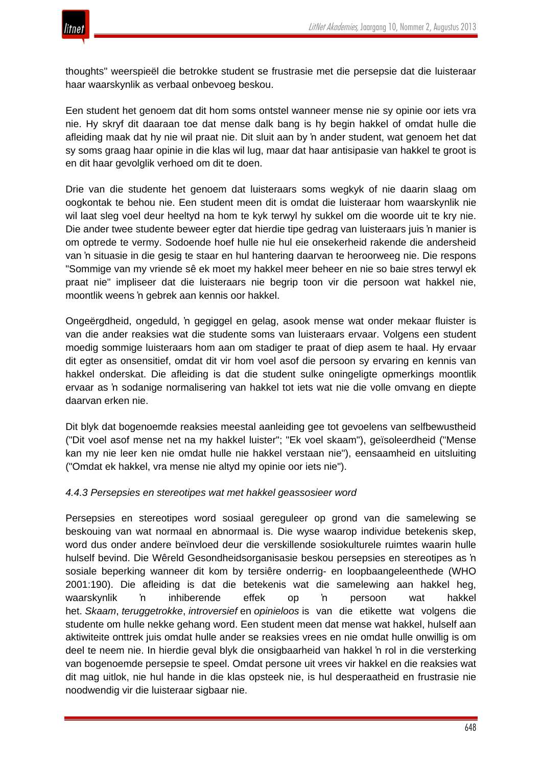

thoughts" weerspieël die betrokke student se frustrasie met die persepsie dat die luisteraar haar waarskynlik as verbaal onbevoeg beskou.

Een student het genoem dat dit hom soms ontstel wanneer mense nie sy opinie oor iets vra nie. Hy skryf dit daaraan toe dat mense dalk bang is hy begin hakkel of omdat hulle die afleiding maak dat hy nie wil praat nie. Dit sluit aan by 'n ander student, wat genoem het dat sy soms graag haar opinie in die klas wil lug, maar dat haar antisipasie van hakkel te groot is en dit haar gevolglik verhoed om dit te doen.

Drie van die studente het genoem dat luisteraars soms wegkyk of nie daarin slaag om oogkontak te behou nie. Een student meen dit is omdat die luisteraar hom waarskynlik nie wil laat sleg voel deur heeltyd na hom te kyk terwyl hy sukkel om die woorde uit te kry nie. Die ander twee studente beweer egter dat hierdie tipe gedrag van luisteraars juis 'n manier is om optrede te vermy. Sodoende hoef hulle nie hul eie onsekerheid rakende die andersheid van 'n situasie in die gesig te staar en hul hantering daarvan te heroorweeg nie. Die respons "Sommige van my vriende sê ek moet my hakkel meer beheer en nie so baie stres terwyl ek praat nie" impliseer dat die luisteraars nie begrip toon vir die persoon wat hakkel nie, moontlik weens 'n gebrek aan kennis oor hakkel.

Ongeërgdheid, ongeduld, 'n gegiggel en gelag, asook mense wat onder mekaar fluister is van die ander reaksies wat die studente soms van luisteraars ervaar. Volgens een student moedig sommige luisteraars hom aan om stadiger te praat of diep asem te haal. Hy ervaar dit egter as onsensitief, omdat dit vir hom voel asof die persoon sy ervaring en kennis van hakkel onderskat. Die afleiding is dat die student sulke oningeligte opmerkings moontlik ervaar as 'n sodanige normalisering van hakkel tot iets wat nie die volle omvang en diepte daarvan erken nie.

Dit blyk dat bogenoemde reaksies meestal aanleiding gee tot gevoelens van selfbewustheid ("Dit voel asof mense net na my hakkel luister"; "Ek voel skaam"), geïsoleerdheid ("Mense kan my nie leer ken nie omdat hulle nie hakkel verstaan nie"), eensaamheid en uitsluiting ("Omdat ek hakkel, vra mense nie altyd my opinie oor iets nie").

### *4.4.3 Persepsies en stereotipes wat met hakkel geassosieer word*

Persepsies en stereotipes word sosiaal gereguleer op grond van die samelewing se beskouing van wat normaal en abnormaal is. Die wyse waarop individue betekenis skep, word dus onder andere beïnvloed deur die verskillende sosiokulturele ruimtes waarin hulle hulself bevind. Die Wêreld Gesondheidsorganisasie beskou persepsies en stereotipes as 'n sosiale beperking wanneer dit kom by tersiêre onderrig- en loopbaangeleenthede (WHO 2001:190). Die afleiding is dat die betekenis wat die samelewing aan hakkel heg, waarskynlik 'n inhiberende effek op 'n persoon wat hakkel het. *Skaam*, *teruggetrokke*, *introversief* en *opinieloos* is van die etikette wat volgens die studente om hulle nekke gehang word. Een student meen dat mense wat hakkel, hulself aan aktiwiteite onttrek juis omdat hulle ander se reaksies vrees en nie omdat hulle onwillig is om deel te neem nie. In hierdie geval blyk die onsigbaarheid van hakkel 'n rol in die versterking van bogenoemde persepsie te speel. Omdat persone uit vrees vir hakkel en die reaksies wat dit mag uitlok, nie hul hande in die klas opsteek nie, is hul desperaatheid en frustrasie nie noodwendig vir die luisteraar sigbaar nie.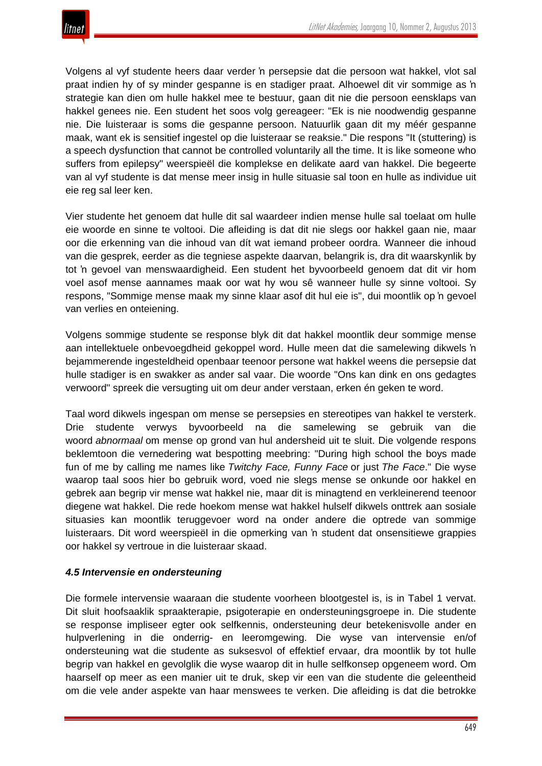Volgens al vyf studente heers daar verder 'n persepsie dat die persoon wat hakkel, vlot sal praat indien hy of sy minder gespanne is en stadiger praat. Alhoewel dit vir sommige as 'n strategie kan dien om hulle hakkel mee te bestuur, gaan dit nie die persoon eensklaps van hakkel genees nie. Een student het soos volg gereageer: "Ek is nie noodwendig gespanne nie. Die luisteraar is soms die gespanne persoon. Natuurlik gaan dit my méér gespanne maak, want ek is sensitief ingestel op die luisteraar se reaksie." Die respons "It (stuttering) is a speech dysfunction that cannot be controlled voluntarily all the time. It is like someone who suffers from epilepsy" weerspieël die komplekse en delikate aard van hakkel. Die begeerte van al vyf studente is dat mense meer insig in hulle situasie sal toon en hulle as individue uit eie reg sal leer ken.

Vier studente het genoem dat hulle dit sal waardeer indien mense hulle sal toelaat om hulle eie woorde en sinne te voltooi. Die afleiding is dat dit nie slegs oor hakkel gaan nie, maar oor die erkenning van die inhoud van dít wat iemand probeer oordra. Wanneer die inhoud van die gesprek, eerder as die tegniese aspekte daarvan, belangrik is, dra dit waarskynlik by tot 'n gevoel van menswaardigheid. Een student het byvoorbeeld genoem dat dit vir hom voel asof mense aannames maak oor wat hy wou sê wanneer hulle sy sinne voltooi. Sy respons, "Sommige mense maak my sinne klaar asof dit hul eie is", dui moontlik op 'n gevoel van verlies en onteiening.

Volgens sommige studente se response blyk dit dat hakkel moontlik deur sommige mense aan intellektuele onbevoegdheid gekoppel word. Hulle meen dat die samelewing dikwels 'n bejammerende ingesteldheid openbaar teenoor persone wat hakkel weens die persepsie dat hulle stadiger is en swakker as ander sal vaar. Die woorde "Ons kan dink en ons gedagtes verwoord" spreek die versugting uit om deur ander verstaan, erken én geken te word.

Taal word dikwels ingespan om mense se persepsies en stereotipes van hakkel te versterk. Drie studente verwys byvoorbeeld na die samelewing se gebruik van die woord *abnormaal* om mense op grond van hul andersheid uit te sluit. Die volgende respons beklemtoon die vernedering wat bespotting meebring: "During high school the boys made fun of me by calling me names like *Twitchy Face, Funny Face* or just *The Face*." Die wyse waarop taal soos hier bo gebruik word, voed nie slegs mense se onkunde oor hakkel en gebrek aan begrip vir mense wat hakkel nie, maar dit is minagtend en verkleinerend teenoor diegene wat hakkel. Die rede hoekom mense wat hakkel hulself dikwels onttrek aan sosiale situasies kan moontlik teruggevoer word na onder andere die optrede van sommige luisteraars. Dit word weerspieël in die opmerking van 'n student dat onsensitiewe grappies oor hakkel sy vertroue in die luisteraar skaad.

# *4.5 Intervensie en ondersteuning*

Die formele intervensie waaraan die studente voorheen blootgestel is, is in Tabel 1 vervat. Dit sluit hoofsaaklik spraakterapie, psigoterapie en ondersteuningsgroepe in. Die studente se response impliseer egter ook selfkennis, ondersteuning deur betekenisvolle ander en hulpverlening in die onderrig- en leeromgewing. Die wyse van intervensie en/of ondersteuning wat die studente as suksesvol of effektief ervaar, dra moontlik by tot hulle begrip van hakkel en gevolglik die wyse waarop dit in hulle selfkonsep opgeneem word. Om haarself op meer as een manier uit te druk, skep vir een van die studente die geleentheid om die vele ander aspekte van haar menswees te verken. Die afleiding is dat die betrokke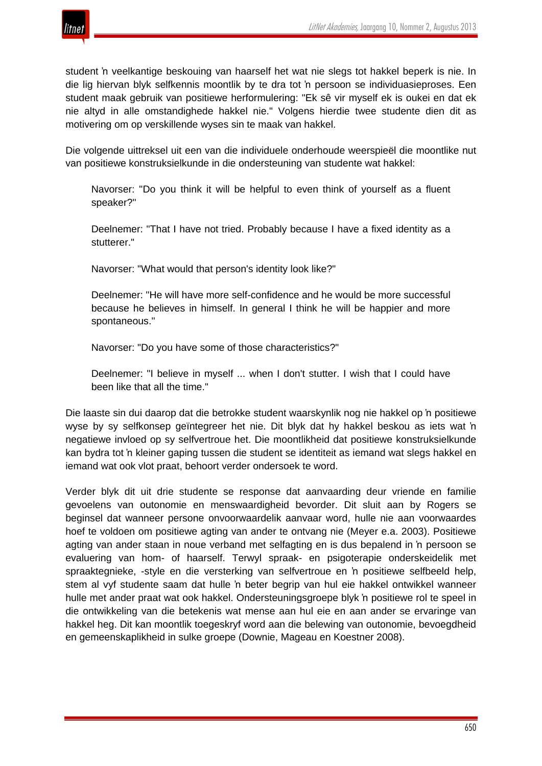

student 'n veelkantige beskouing van haarself het wat nie slegs tot hakkel beperk is nie. In die lig hiervan blyk selfkennis moontlik by te dra tot 'n persoon se individuasieproses. Een student maak gebruik van positiewe herformulering: "Ek sê vir myself ek is oukei en dat ek nie altyd in alle omstandighede hakkel nie." Volgens hierdie twee studente dien dit as motivering om op verskillende wyses sin te maak van hakkel.

Die volgende uittreksel uit een van die individuele onderhoude weerspieël die moontlike nut van positiewe konstruksielkunde in die ondersteuning van studente wat hakkel:

Navorser: "Do you think it will be helpful to even think of yourself as a fluent speaker?"

Deelnemer: "That I have not tried. Probably because I have a fixed identity as a stutterer."

Navorser: "What would that person's identity look like?"

Deelnemer: "He will have more self-confidence and he would be more successful because he believes in himself. In general I think he will be happier and more spontaneous."

Navorser: "Do you have some of those characteristics?"

Deelnemer: "I believe in myself ... when I don't stutter. I wish that I could have been like that all the time."

Die laaste sin dui daarop dat die betrokke student waarskynlik nog nie hakkel op 'n positiewe wyse by sy selfkonsep geïntegreer het nie. Dit blyk dat hy hakkel beskou as iets wat 'n negatiewe invloed op sy selfvertroue het. Die moontlikheid dat positiewe konstruksielkunde kan bydra tot 'n kleiner gaping tussen die student se identiteit as iemand wat slegs hakkel en iemand wat ook vlot praat, behoort verder ondersoek te word.

Verder blyk dit uit drie studente se response dat aanvaarding deur vriende en familie gevoelens van outonomie en menswaardigheid bevorder. Dit sluit aan by Rogers se beginsel dat wanneer persone onvoorwaardelik aanvaar word, hulle nie aan voorwaardes hoef te voldoen om positiewe agting van ander te ontvang nie (Meyer e.a. 2003). Positiewe agting van ander staan in noue verband met selfagting en is dus bepalend in 'n persoon se evaluering van hom- of haarself. Terwyl spraak- en psigoterapie onderskeidelik met spraaktegnieke, -style en die versterking van selfvertroue en 'n positiewe selfbeeld help, stem al vyf studente saam dat hulle 'n beter begrip van hul eie hakkel ontwikkel wanneer hulle met ander praat wat ook hakkel. Ondersteuningsgroepe blyk 'n positiewe rol te speel in die ontwikkeling van die betekenis wat mense aan hul eie en aan ander se ervaringe van hakkel heg. Dit kan moontlik toegeskryf word aan die belewing van outonomie, bevoegdheid en gemeenskaplikheid in sulke groepe (Downie, Mageau en Koestner 2008).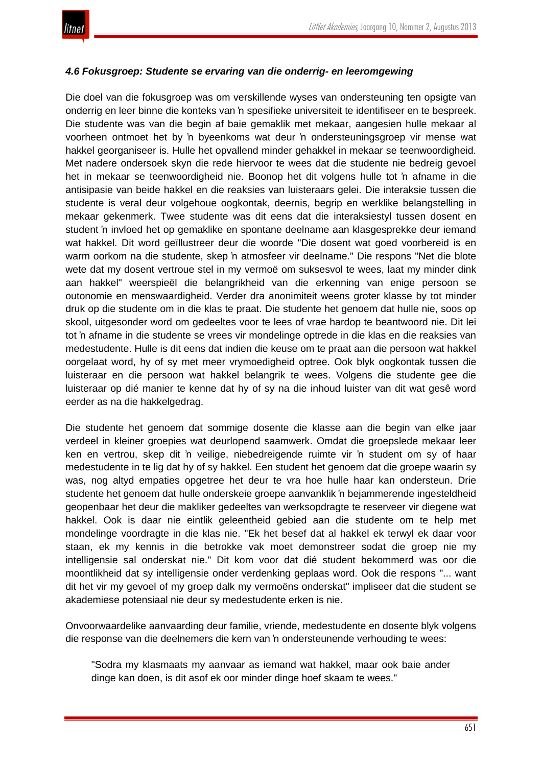## *4.6 Fokusgroep: Studente se ervaring van die onderrig- en leeromgewing*

Die doel van die fokusgroep was om verskillende wyses van ondersteuning ten opsigte van onderrig en leer binne die konteks van 'n spesifieke universiteit te identifiseer en te bespreek. Die studente was van die begin af baie gemaklik met mekaar, aangesien hulle mekaar al voorheen ontmoet het by 'n byeenkoms wat deur 'n ondersteuningsgroep vir mense wat hakkel georganiseer is. Hulle het opvallend minder gehakkel in mekaar se teenwoordigheid. Met nadere ondersoek skyn die rede hiervoor te wees dat die studente nie bedreig gevoel het in mekaar se teenwoordigheid nie. Boonop het dit volgens hulle tot 'n afname in die antisipasie van beide hakkel en die reaksies van luisteraars gelei. Die interaksie tussen die studente is veral deur volgehoue oogkontak, deernis, begrip en werklike belangstelling in mekaar gekenmerk. Twee studente was dit eens dat die interaksiestyl tussen dosent en student 'n invloed het op gemaklike en spontane deelname aan klasgesprekke deur iemand wat hakkel. Dit word geïllustreer deur die woorde "Die dosent wat goed voorbereid is en warm oorkom na die studente, skep 'n atmosfeer vir deelname." Die respons "Net die blote wete dat my dosent vertroue stel in my vermoë om suksesvol te wees, laat my minder dink aan hakkel" weerspieël die belangrikheid van die erkenning van enige persoon se outonomie en menswaardigheid. Verder dra anonimiteit weens groter klasse by tot minder druk op die studente om in die klas te praat. Die studente het genoem dat hulle nie, soos op skool, uitgesonder word om gedeeltes voor te lees of vrae hardop te beantwoord nie. Dit lei tot 'n afname in die studente se vrees vir mondelinge optrede in die klas en die reaksies van medestudente. Hulle is dit eens dat indien die keuse om te praat aan die persoon wat hakkel oorgelaat word, hy of sy met meer vrymoedigheid optree. Ook blyk oogkontak tussen die luisteraar en die persoon wat hakkel belangrik te wees. Volgens die studente gee die luisteraar op dié manier te kenne dat hy of sy na die inhoud luister van dit wat gesê word eerder as na die hakkelgedrag.

Die studente het genoem dat sommige dosente die klasse aan die begin van elke jaar verdeel in kleiner groepies wat deurlopend saamwerk. Omdat die groepslede mekaar leer ken en vertrou, skep dit 'n veilige, niebedreigende ruimte vir 'n student om sy of haar medestudente in te lig dat hy of sy hakkel. Een student het genoem dat die groepe waarin sy was, nog altyd empaties opgetree het deur te vra hoe hulle haar kan ondersteun. Drie studente het genoem dat hulle onderskeie groepe aanvanklik 'n bejammerende ingesteldheid geopenbaar het deur die makliker gedeeltes van werksopdragte te reserveer vir diegene wat hakkel. Ook is daar nie eintlik geleentheid gebied aan die studente om te help met mondelinge voordragte in die klas nie. "Ek het besef dat al hakkel ek terwyl ek daar voor staan, ek my kennis in die betrokke vak moet demonstreer sodat die groep nie my intelligensie sal onderskat nie." Dit kom voor dat dié student bekommerd was oor die moontlikheid dat sy intelligensie onder verdenking geplaas word. Ook die respons "... want dit het vir my gevoel of my groep dalk my vermoëns onderskat" impliseer dat die student se akademiese potensiaal nie deur sy medestudente erken is nie.

Onvoorwaardelike aanvaarding deur familie, vriende, medestudente en dosente blyk volgens die response van die deelnemers die kern van 'n ondersteunende verhouding te wees:

"Sodra my klasmaats my aanvaar as iemand wat hakkel, maar ook baie ander dinge kan doen, is dit asof ek oor minder dinge hoef skaam te wees."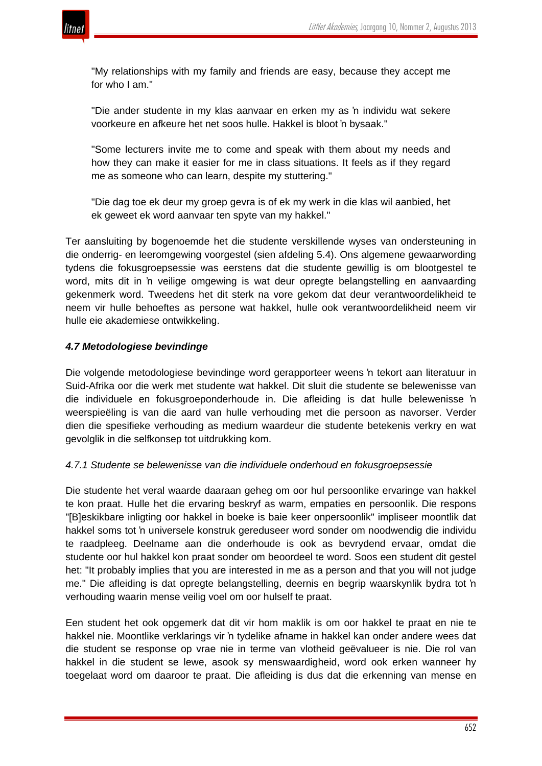

"My relationships with my family and friends are easy, because they accept me for who I am."

"Die ander studente in my klas aanvaar en erken my as 'n individu wat sekere voorkeure en afkeure het net soos hulle. Hakkel is bloot 'n bysaak."

"Some lecturers invite me to come and speak with them about my needs and how they can make it easier for me in class situations. It feels as if they regard me as someone who can learn, despite my stuttering."

"Die dag toe ek deur my groep gevra is of ek my werk in die klas wil aanbied, het ek geweet ek word aanvaar ten spyte van my hakkel."

Ter aansluiting by bogenoemde het die studente verskillende wyses van ondersteuning in die onderrig- en leeromgewing voorgestel (sien afdeling 5.4). Ons algemene gewaarwording tydens die fokusgroepsessie was eerstens dat die studente gewillig is om blootgestel te word, mits dit in 'n veilige omgewing is wat deur opregte belangstelling en aanvaarding gekenmerk word. Tweedens het dit sterk na vore gekom dat deur verantwoordelikheid te neem vir hulle behoeftes as persone wat hakkel, hulle ook verantwoordelikheid neem vir hulle eie akademiese ontwikkeling.

## *4.7 Metodologiese bevindinge*

Die volgende metodologiese bevindinge word gerapporteer weens 'n tekort aan literatuur in Suid-Afrika oor die werk met studente wat hakkel. Dit sluit die studente se belewenisse van die individuele en fokusgroeponderhoude in. Die afleiding is dat hulle belewenisse 'n weerspieëling is van die aard van hulle verhouding met die persoon as navorser. Verder dien die spesifieke verhouding as medium waardeur die studente betekenis verkry en wat gevolglik in die selfkonsep tot uitdrukking kom.

### *4.7.1 Studente se belewenisse van die individuele onderhoud en fokusgroepsessie*

Die studente het veral waarde daaraan geheg om oor hul persoonlike ervaringe van hakkel te kon praat. Hulle het die ervaring beskryf as warm, empaties en persoonlik. Die respons "[B]eskikbare inligting oor hakkel in boeke is baie keer onpersoonlik" impliseer moontlik dat hakkel soms tot 'n universele konstruk gereduseer word sonder om noodwendig die individu te raadpleeg. Deelname aan die onderhoude is ook as bevrydend ervaar, omdat die studente oor hul hakkel kon praat sonder om beoordeel te word. Soos een student dit gestel het: "It probably implies that you are interested in me as a person and that you will not judge me." Die afleiding is dat opregte belangstelling, deernis en begrip waarskynlik bydra tot 'n verhouding waarin mense veilig voel om oor hulself te praat.

Een student het ook opgemerk dat dit vir hom maklik is om oor hakkel te praat en nie te hakkel nie. Moontlike verklarings vir 'n tydelike afname in hakkel kan onder andere wees dat die student se response op vrae nie in terme van vlotheid geëvalueer is nie. Die rol van hakkel in die student se lewe, asook sy menswaardigheid, word ook erken wanneer hy toegelaat word om daaroor te praat. Die afleiding is dus dat die erkenning van mense en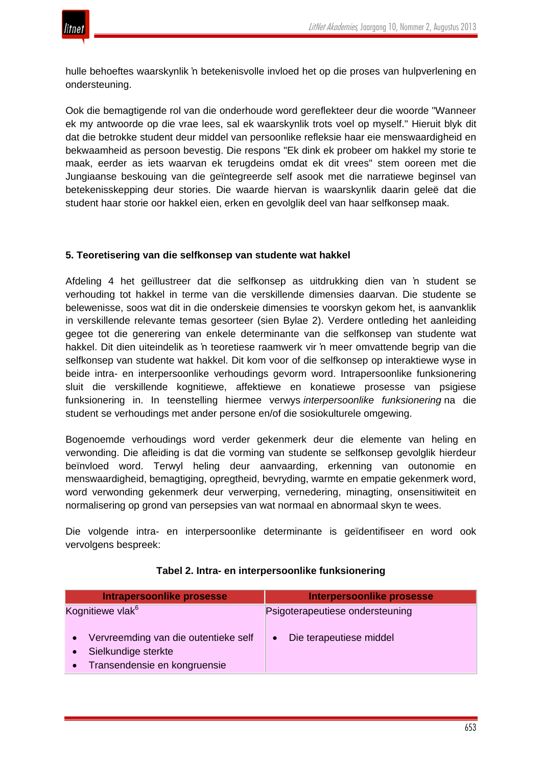

hulle behoeftes waarskynlik 'n betekenisvolle invloed het op die proses van hulpverlening en ondersteuning.

Ook die bemagtigende rol van die onderhoude word gereflekteer deur die woorde "Wanneer ek my antwoorde op die vrae lees, sal ek waarskynlik trots voel op myself." Hieruit blyk dit dat die betrokke student deur middel van persoonlike refleksie haar eie menswaardigheid en bekwaamheid as persoon bevestig. Die respons "Ek dink ek probeer om hakkel my storie te maak, eerder as iets waarvan ek terugdeins omdat ek dit vrees" stem ooreen met die Jungiaanse beskouing van die geïntegreerde self asook met die narratiewe beginsel van betekenisskepping deur stories. Die waarde hiervan is waarskynlik daarin geleë dat die student haar storie oor hakkel eien, erken en gevolglik deel van haar selfkonsep maak.

### **5. Teoretisering van die selfkonsep van studente wat hakkel**

Afdeling 4 het geïllustreer dat die selfkonsep as uitdrukking dien van 'n student se verhouding tot hakkel in terme van die verskillende dimensies daarvan. Die studente se belewenisse, soos wat dit in die onderskeie dimensies te voorskyn gekom het, is aanvanklik in verskillende relevante temas gesorteer (sien Bylae 2). Verdere ontleding het aanleiding gegee tot die generering van enkele determinante van die selfkonsep van studente wat hakkel. Dit dien uiteindelik as 'n teoretiese raamwerk vir 'n meer omvattende begrip van die selfkonsep van studente wat hakkel. Dit kom voor of die selfkonsep op interaktiewe wyse in beide intra- en interpersoonlike verhoudings gevorm word. Intrapersoonlike funksionering sluit die verskillende kognitiewe, affektiewe en konatiewe prosesse van psigiese funksionering in. In teenstelling hiermee verwys *interpersoonlike funksionering* na die student se verhoudings met ander persone en/of die sosiokulturele omgewing.

Bogenoemde verhoudings word verder gekenmerk deur die elemente van heling en verwonding. Die afleiding is dat die vorming van studente se selfkonsep gevolglik hierdeur beïnvloed word. Terwyl heling deur aanvaarding, erkenning van outonomie en menswaardigheid, bemagtiging, opregtheid, bevryding, warmte en empatie gekenmerk word, word verwonding gekenmerk deur verwerping, vernedering, minagting, onsensitiwiteit en normalisering op grond van persepsies van wat normaal en abnormaal skyn te wees.

Die volgende intra- en interpersoonlike determinante is geïdentifiseer en word ook vervolgens bespreek:

| Intrapersoonlike prosesse                                                                   | Interpersoonlike prosesse       |
|---------------------------------------------------------------------------------------------|---------------------------------|
| Kognitiewe vlak <sup>6</sup>                                                                | Psigoterapeutiese ondersteuning |
| Vervreemding van die outentieke self<br>Sielkundige sterkte<br>Transendensie en kongruensie | Die terapeutiese middel         |

### **Tabel 2. Intra- en interpersoonlike funksionering**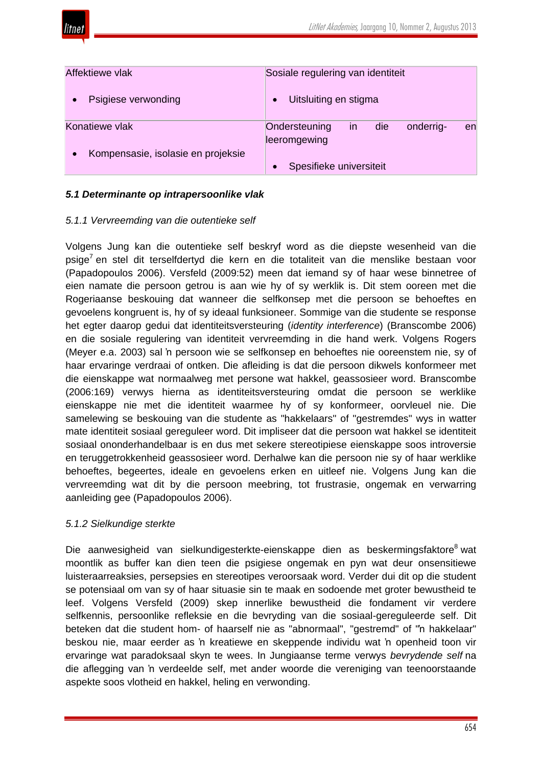

| Affektiewe vlak                    | Sosiale regulering van identiteit                             |
|------------------------------------|---------------------------------------------------------------|
| Psigiese verwonding                | Uitsluiting en stigma                                         |
| Konatiewe vlak                     | in<br>die<br>Ondersteuning<br>onderrig-<br>en<br>leeromgewing |
| Kompensasie, isolasie en projeksie | Spesifieke universiteit                                       |

# *5.1 Determinante op intrapersoonlike vlak*

### *5.1.1 Vervreemding van die outentieke self*

Volgens Jung kan die outentieke self beskryf word as die diepste wesenheid van die psige<sup>7</sup> en stel dit terselfdertyd die kern en die totaliteit van die menslike bestaan voor (Papadopoulos 2006). Versfeld (2009:52) meen dat iemand sy of haar wese binnetree of eien namate die persoon getrou is aan wie hy of sy werklik is. Dit stem ooreen met die Rogeriaanse beskouing dat wanneer die selfkonsep met die persoon se behoeftes en gevoelens kongruent is, hy of sy ideaal funksioneer. Sommige van die studente se response het egter daarop gedui dat identiteitsversteuring (*identity interference*) (Branscombe 2006) en die sosiale regulering van identiteit vervreemding in die hand werk. Volgens Rogers (Meyer e.a. 2003) sal 'n persoon wie se selfkonsep en behoeftes nie ooreenstem nie, sy of haar ervaringe verdraai of ontken. Die afleiding is dat die persoon dikwels konformeer met die eienskappe wat normaalweg met persone wat hakkel, geassosieer word. Branscombe (2006:169) verwys hierna as identiteitsversteuring omdat die persoon se werklike eienskappe nie met die identiteit waarmee hy of sy konformeer, oorvleuel nie. Die samelewing se beskouing van die studente as "hakkelaars" of "gestremdes" wys in watter mate identiteit sosiaal gereguleer word. Dit impliseer dat die persoon wat hakkel se identiteit sosiaal ononderhandelbaar is en dus met sekere stereotipiese eienskappe soos introversie en teruggetrokkenheid geassosieer word. Derhalwe kan die persoon nie sy of haar werklike behoeftes, begeertes, ideale en gevoelens erken en uitleef nie. Volgens Jung kan die vervreemding wat dit by die persoon meebring, tot frustrasie, ongemak en verwarring aanleiding gee (Papadopoulos 2006).

### *5.1.2 Sielkundige sterkte*

Die aanwesigheid van sielkundigesterkte-eienskappe dien as beskermingsfaktore<sup>8</sup> wat moontlik as buffer kan dien teen die psigiese ongemak en pyn wat deur onsensitiewe luisteraarreaksies, persepsies en stereotipes veroorsaak word. Verder dui dit op die student se potensiaal om van sy of haar situasie sin te maak en sodoende met groter bewustheid te leef. Volgens Versfeld (2009) skep innerlike bewustheid die fondament vir verdere selfkennis, persoonlike refleksie en die bevryding van die sosiaal-gereguleerde self. Dit beteken dat die student hom- of haarself nie as "abnormaal", "gestremd" of "'n hakkelaar" beskou nie, maar eerder as 'n kreatiewe en skeppende individu wat 'n openheid toon vir ervaringe wat paradoksaal skyn te wees. In Jungiaanse terme verwys *bevrydende self* na die aflegging van 'n verdeelde self, met ander woorde die vereniging van teenoorstaande aspekte soos vlotheid en hakkel, heling en verwonding.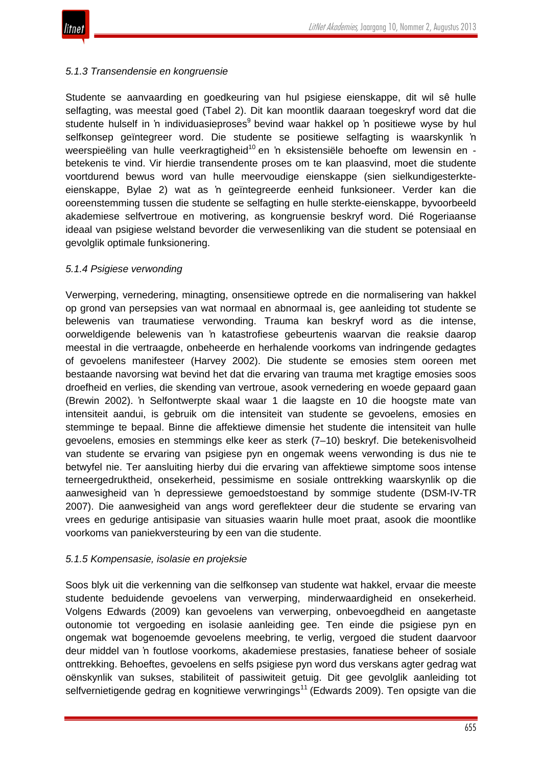

### *5.1.3 Transendensie en kongruensie*

Studente se aanvaarding en goedkeuring van hul psigiese eienskappe, dit wil sê hulle selfagting, was meestal goed (Tabel 2). Dit kan moontlik daaraan toegeskryf word dat die studente hulself in 'n individuasieproses<sup>9</sup> bevind waar hakkel op 'n positiewe wyse by hul selfkonsep geïntegreer word. Die studente se positiewe selfagting is waarskynlik 'n weerspieëling van hulle veerkragtigheid<sup>10</sup> en 'n eksistensiële behoefte om lewensin en betekenis te vind. Vir hierdie transendente proses om te kan plaasvind, moet die studente voortdurend bewus word van hulle meervoudige eienskappe (sien sielkundigesterkteeienskappe, Bylae 2) wat as 'n geïntegreerde eenheid funksioneer. Verder kan die ooreenstemming tussen die studente se selfagting en hulle sterkte-eienskappe, byvoorbeeld akademiese selfvertroue en motivering, as kongruensie beskryf word. Dié Rogeriaanse ideaal van psigiese welstand bevorder die verwesenliking van die student se potensiaal en gevolglik optimale funksionering.

### *5.1.4 Psigiese verwonding*

Verwerping, vernedering, minagting, onsensitiewe optrede en die normalisering van hakkel op grond van persepsies van wat normaal en abnormaal is, gee aanleiding tot studente se belewenis van traumatiese verwonding. Trauma kan beskryf word as die intense, oorweldigende belewenis van 'n katastrofiese gebeurtenis waarvan die reaksie daarop meestal in die vertraagde, onbeheerde en herhalende voorkoms van indringende gedagtes of gevoelens manifesteer (Harvey 2002). Die studente se emosies stem ooreen met bestaande navorsing wat bevind het dat die ervaring van trauma met kragtige emosies soos droefheid en verlies, die skending van vertroue, asook vernedering en woede gepaard gaan (Brewin 2002). 'n Selfontwerpte skaal waar 1 die laagste en 10 die hoogste mate van intensiteit aandui, is gebruik om die intensiteit van studente se gevoelens, emosies en stemminge te bepaal. Binne die affektiewe dimensie het studente die intensiteit van hulle gevoelens, emosies en stemmings elke keer as sterk (7–10) beskryf. Die betekenisvolheid van studente se ervaring van psigiese pyn en ongemak weens verwonding is dus nie te betwyfel nie. Ter aansluiting hierby dui die ervaring van affektiewe simptome soos intense terneergedruktheid, onsekerheid, pessimisme en sosiale onttrekking waarskynlik op die aanwesigheid van 'n depressiewe gemoedstoestand by sommige studente (DSM-IV-TR 2007). Die aanwesigheid van angs word gereflekteer deur die studente se ervaring van vrees en gedurige antisipasie van situasies waarin hulle moet praat, asook die moontlike voorkoms van paniekversteuring by een van die studente.

### *5.1.5 Kompensasie, isolasie en projeksie*

Soos blyk uit die verkenning van die selfkonsep van studente wat hakkel, ervaar die meeste studente beduidende gevoelens van verwerping, minderwaardigheid en onsekerheid. Volgens Edwards (2009) kan gevoelens van verwerping, onbevoegdheid en aangetaste outonomie tot vergoeding en isolasie aanleiding gee. Ten einde die psigiese pyn en ongemak wat bogenoemde gevoelens meebring, te verlig, vergoed die student daarvoor deur middel van 'n foutlose voorkoms, akademiese prestasies, fanatiese beheer of sosiale onttrekking. Behoeftes, gevoelens en selfs psigiese pyn word dus verskans agter gedrag wat oënskynlik van sukses, stabiliteit of passiwiteit getuig. Dit gee gevolglik aanleiding tot selfvernietigende gedrag en kognitiewe verwringings<sup>11</sup> (Edwards 2009). Ten opsigte van die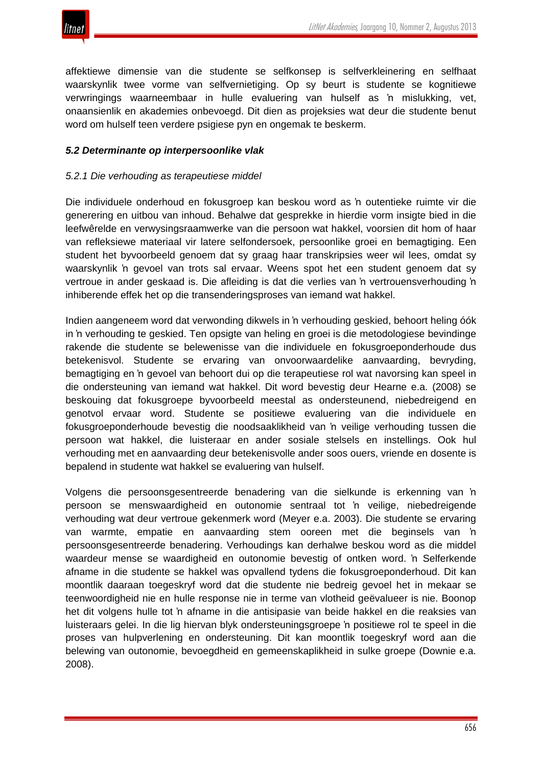

affektiewe dimensie van die studente se selfkonsep is selfverkleinering en selfhaat waarskynlik twee vorme van selfvernietiging. Op sy beurt is studente se kognitiewe verwringings waarneembaar in hulle evaluering van hulself as 'n mislukking, vet, onaansienlik en akademies onbevoegd. Dit dien as projeksies wat deur die studente benut word om hulself teen verdere psigiese pyn en ongemak te beskerm.

#### *5.2 Determinante op interpersoonlike vlak*

#### *5.2.1 Die verhouding as terapeutiese middel*

Die individuele onderhoud en fokusgroep kan beskou word as 'n outentieke ruimte vir die generering en uitbou van inhoud. Behalwe dat gesprekke in hierdie vorm insigte bied in die leefwêrelde en verwysingsraamwerke van die persoon wat hakkel, voorsien dit hom of haar van refleksiewe materiaal vir latere selfondersoek, persoonlike groei en bemagtiging. Een student het byvoorbeeld genoem dat sy graag haar transkripsies weer wil lees, omdat sy waarskynlik 'n gevoel van trots sal ervaar. Weens spot het een student genoem dat sy vertroue in ander geskaad is. Die afleiding is dat die verlies van 'n vertrouensverhouding 'n inhiberende effek het op die transenderingsproses van iemand wat hakkel.

Indien aangeneem word dat verwonding dikwels in 'n verhouding geskied, behoort heling óók in 'n verhouding te geskied. Ten opsigte van heling en groei is die metodologiese bevindinge rakende die studente se belewenisse van die individuele en fokusgroeponderhoude dus betekenisvol. Studente se ervaring van onvoorwaardelike aanvaarding, bevryding, bemagtiging en 'n gevoel van behoort dui op die terapeutiese rol wat navorsing kan speel in die ondersteuning van iemand wat hakkel. Dit word bevestig deur Hearne e.a. (2008) se beskouing dat fokusgroepe byvoorbeeld meestal as ondersteunend, niebedreigend en genotvol ervaar word. Studente se positiewe evaluering van die individuele en fokusgroeponderhoude bevestig die noodsaaklikheid van 'n veilige verhouding tussen die persoon wat hakkel, die luisteraar en ander sosiale stelsels en instellings. Ook hul verhouding met en aanvaarding deur betekenisvolle ander soos ouers, vriende en dosente is bepalend in studente wat hakkel se evaluering van hulself.

Volgens die persoonsgesentreerde benadering van die sielkunde is erkenning van 'n persoon se menswaardigheid en outonomie sentraal tot 'n veilige, niebedreigende verhouding wat deur vertroue gekenmerk word (Meyer e.a. 2003). Die studente se ervaring van warmte, empatie en aanvaarding stem ooreen met die beginsels van 'n persoonsgesentreerde benadering. Verhoudings kan derhalwe beskou word as die middel waardeur mense se waardigheid en outonomie bevestig of ontken word. 'n Selferkende afname in die studente se hakkel was opvallend tydens die fokusgroeponderhoud. Dit kan moontlik daaraan toegeskryf word dat die studente nie bedreig gevoel het in mekaar se teenwoordigheid nie en hulle response nie in terme van vlotheid geëvalueer is nie. Boonop het dit volgens hulle tot 'n afname in die antisipasie van beide hakkel en die reaksies van luisteraars gelei. In die lig hiervan blyk ondersteuningsgroepe 'n positiewe rol te speel in die proses van hulpverlening en ondersteuning. Dit kan moontlik toegeskryf word aan die belewing van outonomie, bevoegdheid en gemeenskaplikheid in sulke groepe (Downie e.a. 2008).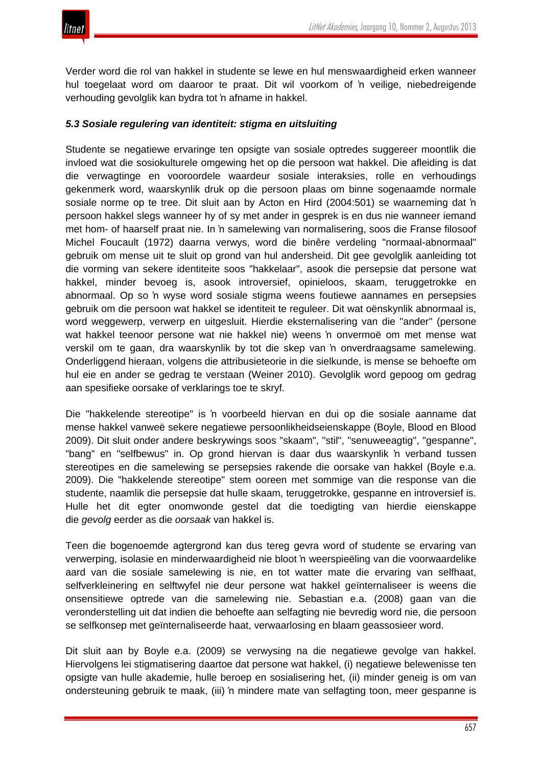Verder word die rol van hakkel in studente se lewe en hul menswaardigheid erken wanneer hul toegelaat word om daaroor te praat. Dit wil voorkom of 'n veilige, niebedreigende verhouding gevolglik kan bydra tot 'n afname in hakkel.

# *5.3 Sosiale regulering van identiteit: stigma en uitsluiting*

Studente se negatiewe ervaringe ten opsigte van sosiale optredes suggereer moontlik die invloed wat die sosiokulturele omgewing het op die persoon wat hakkel. Die afleiding is dat die verwagtinge en vooroordele waardeur sosiale interaksies, rolle en verhoudings gekenmerk word, waarskynlik druk op die persoon plaas om binne sogenaamde normale sosiale norme op te tree. Dit sluit aan by Acton en Hird (2004:501) se waarneming dat 'n persoon hakkel slegs wanneer hy of sy met ander in gesprek is en dus nie wanneer iemand met hom- of haarself praat nie. In 'n samelewing van normalisering, soos die Franse filosoof Michel Foucault (1972) daarna verwys, word die binêre verdeling "normaal-abnormaal" gebruik om mense uit te sluit op grond van hul andersheid. Dit gee gevolglik aanleiding tot die vorming van sekere identiteite soos "hakkelaar", asook die persepsie dat persone wat hakkel, minder bevoeg is, asook introversief, opinieloos, skaam, teruggetrokke en abnormaal. Op so 'n wyse word sosiale stigma weens foutiewe aannames en persepsies gebruik om die persoon wat hakkel se identiteit te reguleer. Dit wat oënskynlik abnormaal is, word weggewerp, verwerp en uitgesluit. Hierdie eksternalisering van die "ander" (persone wat hakkel teenoor persone wat nie hakkel nie) weens 'n onvermoë om met mense wat verskil om te gaan, dra waarskynlik by tot die skep van 'n onverdraagsame samelewing. Onderliggend hieraan, volgens die attribusieteorie in die sielkunde, is mense se behoefte om hul eie en ander se gedrag te verstaan (Weiner 2010). Gevolglik word gepoog om gedrag aan spesifieke oorsake of verklarings toe te skryf.

Die "hakkelende stereotipe" is 'n voorbeeld hiervan en dui op die sosiale aanname dat mense hakkel vanweë sekere negatiewe persoonlikheidseienskappe (Boyle, Blood en Blood 2009). Dit sluit onder andere beskrywings soos "skaam", "stil", "senuweeagtig", "gespanne", "bang" en "selfbewus" in. Op grond hiervan is daar dus waarskynlik 'n verband tussen stereotipes en die samelewing se persepsies rakende die oorsake van hakkel (Boyle e.a. 2009). Die "hakkelende stereotipe" stem ooreen met sommige van die response van die studente, naamlik die persepsie dat hulle skaam, teruggetrokke, gespanne en introversief is. Hulle het dit egter onomwonde gestel dat die toedigting van hierdie eienskappe die *gevolg* eerder as die *oorsaak* van hakkel is.

Teen die bogenoemde agtergrond kan dus tereg gevra word of studente se ervaring van verwerping, isolasie en minderwaardigheid nie bloot 'n weerspieëling van die voorwaardelike aard van die sosiale samelewing is nie, en tot watter mate die ervaring van selfhaat, selfverkleinering en selftwyfel nie deur persone wat hakkel geïnternaliseer is weens die onsensitiewe optrede van die samelewing nie. Sebastian e.a. (2008) gaan van die veronderstelling uit dat indien die behoefte aan selfagting nie bevredig word nie, die persoon se selfkonsep met geïnternaliseerde haat, verwaarlosing en blaam geassosieer word.

Dit sluit aan by Boyle e.a. (2009) se verwysing na die negatiewe gevolge van hakkel. Hiervolgens lei stigmatisering daartoe dat persone wat hakkel, (i) negatiewe belewenisse ten opsigte van hulle akademie, hulle beroep en sosialisering het, (ii) minder geneig is om van ondersteuning gebruik te maak, (iii) 'n mindere mate van selfagting toon, meer gespanne is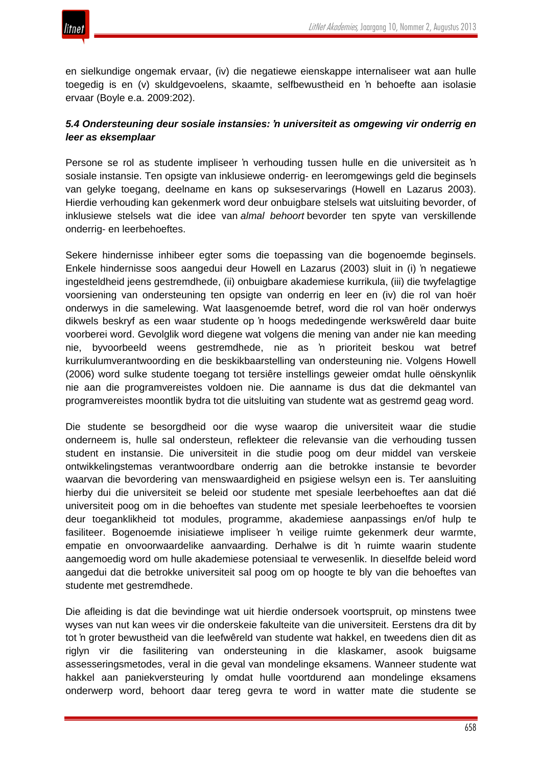en sielkundige ongemak ervaar, (iv) die negatiewe eienskappe internaliseer wat aan hulle toegedig is en (v) skuldgevoelens, skaamte, selfbewustheid en 'n behoefte aan isolasie ervaar (Boyle e.a. 2009:202).

## *5.4 Ondersteuning deur sosiale instansies: 'n universiteit as omgewing vir onderrig en leer as eksemplaar*

Persone se rol as studente impliseer 'n verhouding tussen hulle en die universiteit as 'n sosiale instansie. Ten opsigte van inklusiewe onderrig- en leeromgewings geld die beginsels van gelyke toegang, deelname en kans op sukseservarings (Howell en Lazarus 2003). Hierdie verhouding kan gekenmerk word deur onbuigbare stelsels wat uitsluiting bevorder, of inklusiewe stelsels wat die idee van *almal behoort* bevorder ten spyte van verskillende onderrig- en leerbehoeftes.

Sekere hindernisse inhibeer egter soms die toepassing van die bogenoemde beginsels. Enkele hindernisse soos aangedui deur Howell en Lazarus (2003) sluit in (i) 'n negatiewe ingesteldheid jeens gestremdhede, (ii) onbuigbare akademiese kurrikula, (iii) die twyfelagtige voorsiening van ondersteuning ten opsigte van onderrig en leer en (iv) die rol van hoër onderwys in die samelewing. Wat laasgenoemde betref, word die rol van hoër onderwys dikwels beskryf as een waar studente op 'n hoogs mededingende werkswêreld daar buite voorberei word. Gevolglik word diegene wat volgens die mening van ander nie kan meeding nie, byvoorbeeld weens gestremdhede, nie as 'n prioriteit beskou wat betref kurrikulumverantwoording en die beskikbaarstelling van ondersteuning nie. Volgens Howell (2006) word sulke studente toegang tot tersiêre instellings geweier omdat hulle oënskynlik nie aan die programvereistes voldoen nie. Die aanname is dus dat die dekmantel van programvereistes moontlik bydra tot die uitsluiting van studente wat as gestremd geag word.

Die studente se besorgdheid oor die wyse waarop die universiteit waar die studie onderneem is, hulle sal ondersteun, reflekteer die relevansie van die verhouding tussen student en instansie. Die universiteit in die studie poog om deur middel van verskeie ontwikkelingstemas verantwoordbare onderrig aan die betrokke instansie te bevorder waarvan die bevordering van menswaardigheid en psigiese welsyn een is. Ter aansluiting hierby dui die universiteit se beleid oor studente met spesiale leerbehoeftes aan dat dié universiteit poog om in die behoeftes van studente met spesiale leerbehoeftes te voorsien deur toeganklikheid tot modules, programme, akademiese aanpassings en/of hulp te fasiliteer. Bogenoemde inisiatiewe impliseer 'n veilige ruimte gekenmerk deur warmte, empatie en onvoorwaardelike aanvaarding. Derhalwe is dit 'n ruimte waarin studente aangemoedig word om hulle akademiese potensiaal te verwesenlik. In dieselfde beleid word aangedui dat die betrokke universiteit sal poog om op hoogte te bly van die behoeftes van studente met gestremdhede.

Die afleiding is dat die bevindinge wat uit hierdie ondersoek voortspruit, op minstens twee wyses van nut kan wees vir die onderskeie fakulteite van die universiteit. Eerstens dra dit by tot 'n groter bewustheid van die leefwêreld van studente wat hakkel, en tweedens dien dit as riglyn vir die fasilitering van ondersteuning in die klaskamer, asook buigsame assesseringsmetodes, veral in die geval van mondelinge eksamens. Wanneer studente wat hakkel aan paniekversteuring ly omdat hulle voortdurend aan mondelinge eksamens onderwerp word, behoort daar tereg gevra te word in watter mate die studente se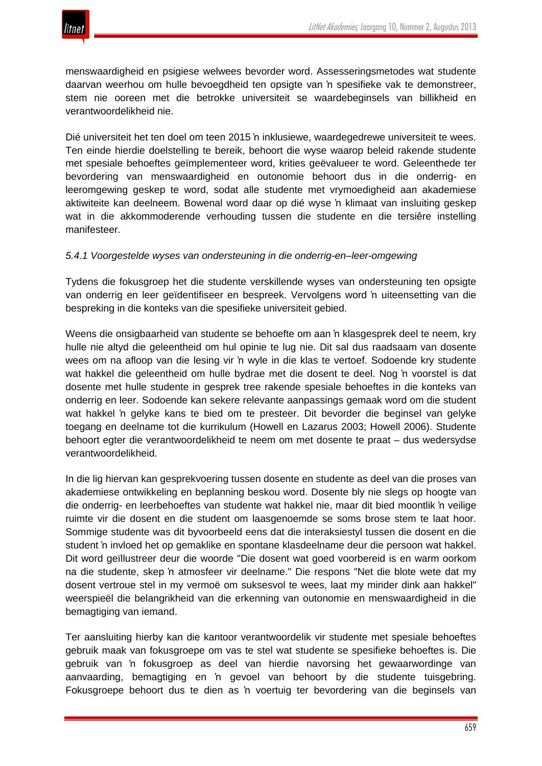

menswaardigheid en psigiese welwees bevorder word. Assesseringsmetodes wat studente daarvan weerhou om hulle bevoegdheid ten opsigte van 'n spesifieke vak te demonstreer, stem nie ooreen met die betrokke universiteit se waardebeginsels van billikheid en verantwoordelikheid nie.

Dié universiteit het ten doel om teen 2015 'n inklusiewe, waardegedrewe universiteit te wees. Ten einde hierdie doelstelling te bereik, behoort die wyse waarop beleid rakende studente met spesiale behoeftes geïmplementeer word, krities geëvalueer te word. Geleenthede ter bevordering van menswaardigheid en outonomie behoort dus in die onderrig- en leeromgewing geskep te word, sodat alle studente met vrymoedigheid aan akademiese aktiwiteite kan deelneem. Bowenal word daar op dié wyse 'n klimaat van insluiting geskep wat in die akkommoderende verhouding tussen die studente en die tersiêre instelling manifesteer.

### *5.4.1 Voorgestelde wyses van ondersteuning in die onderrig-en–leer-omgewing*

Tydens die fokusgroep het die studente verskillende wyses van ondersteuning ten opsigte van onderrig en leer geïdentifiseer en bespreek. Vervolgens word 'n uiteensetting van die bespreking in die konteks van die spesifieke universiteit gebied.

Weens die onsigbaarheid van studente se behoefte om aan 'n klasgesprek deel te neem, kry hulle nie altyd die geleentheid om hul opinie te lug nie. Dit sal dus raadsaam van dosente wees om na afloop van die lesing vir 'n wyle in die klas te vertoef. Sodoende kry studente wat hakkel die geleentheid om hulle bydrae met die dosent te deel. Nog 'n voorstel is dat dosente met hulle studente in gesprek tree rakende spesiale behoeftes in die konteks van onderrig en leer. Sodoende kan sekere relevante aanpassings gemaak word om die student wat hakkel 'n gelyke kans te bied om te presteer. Dit bevorder die beginsel van gelyke toegang en deelname tot die kurrikulum (Howell en Lazarus 2003; Howell 2006). Studente behoort egter die verantwoordelikheid te neem om met dosente te praat – dus wedersydse verantwoordelikheid.

In die lig hiervan kan gesprekvoering tussen dosente en studente as deel van die proses van akademiese ontwikkeling en beplanning beskou word. Dosente bly nie slegs op hoogte van die onderrig- en leerbehoeftes van studente wat hakkel nie, maar dit bied moontlik 'n veilige ruimte vir die dosent en die student om laasgenoemde se soms brose stem te laat hoor. Sommige studente was dit byvoorbeeld eens dat die interaksiestyl tussen die dosent en die student 'n invloed het op gemaklike en spontane klasdeelname deur die persoon wat hakkel. Dit word geïllustreer deur die woorde "Die dosent wat goed voorbereid is en warm oorkom na die studente, skep 'n atmosfeer vir deelname." Die respons "Net die blote wete dat my dosent vertroue stel in my vermoë om suksesvol te wees, laat my minder dink aan hakkel" weerspieël die belangrikheid van die erkenning van outonomie en menswaardigheid in die bemagtiging van iemand.

Ter aansluiting hierby kan die kantoor verantwoordelik vir studente met spesiale behoeftes gebruik maak van fokusgroepe om vas te stel wat studente se spesifieke behoeftes is. Die gebruik van 'n fokusgroep as deel van hierdie navorsing het gewaarwordinge van aanvaarding, bemagtiging en 'n gevoel van behoort by die studente tuisgebring. Fokusgroepe behoort dus te dien as 'n voertuig ter bevordering van die beginsels van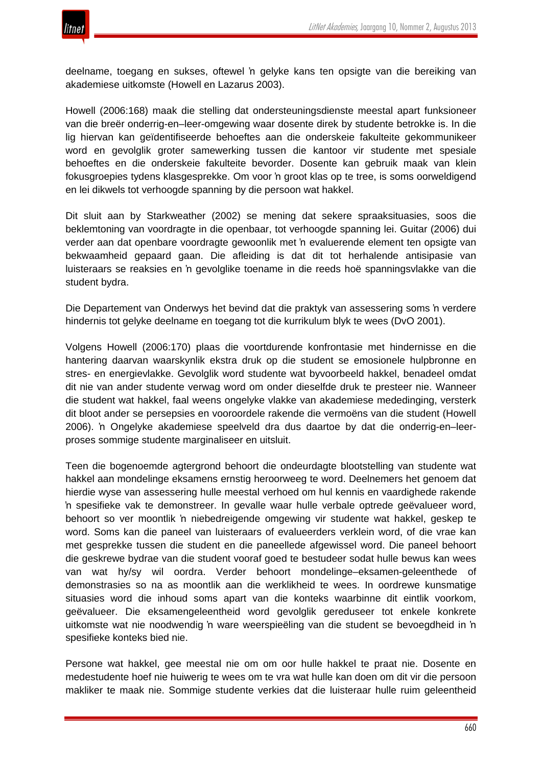

deelname, toegang en sukses, oftewel 'n gelyke kans ten opsigte van die bereiking van akademiese uitkomste (Howell en Lazarus 2003).

Howell (2006:168) maak die stelling dat ondersteuningsdienste meestal apart funksioneer van die breër onderrig-en–leer-omgewing waar dosente direk by studente betrokke is. In die lig hiervan kan geïdentifiseerde behoeftes aan die onderskeie fakulteite gekommunikeer word en gevolglik groter samewerking tussen die kantoor vir studente met spesiale behoeftes en die onderskeie fakulteite bevorder. Dosente kan gebruik maak van klein fokusgroepies tydens klasgesprekke. Om voor 'n groot klas op te tree, is soms oorweldigend en lei dikwels tot verhoogde spanning by die persoon wat hakkel.

Dit sluit aan by Starkweather (2002) se mening dat sekere spraaksituasies, soos die beklemtoning van voordragte in die openbaar, tot verhoogde spanning lei. Guitar (2006) dui verder aan dat openbare voordragte gewoonlik met 'n evaluerende element ten opsigte van bekwaamheid gepaard gaan. Die afleiding is dat dit tot herhalende antisipasie van luisteraars se reaksies en 'n gevolglike toename in die reeds hoë spanningsvlakke van die student bydra.

Die Departement van Onderwys het bevind dat die praktyk van assessering soms 'n verdere hindernis tot gelyke deelname en toegang tot die kurrikulum blyk te wees (DvO 2001).

Volgens Howell (2006:170) plaas die voortdurende konfrontasie met hindernisse en die hantering daarvan waarskynlik ekstra druk op die student se emosionele hulpbronne en stres- en energievlakke. Gevolglik word studente wat byvoorbeeld hakkel, benadeel omdat dit nie van ander studente verwag word om onder dieselfde druk te presteer nie. Wanneer die student wat hakkel, faal weens ongelyke vlakke van akademiese mededinging, versterk dit bloot ander se persepsies en vooroordele rakende die vermoëns van die student (Howell 2006). 'n Ongelyke akademiese speelveld dra dus daartoe by dat die onderrig-en–leerproses sommige studente marginaliseer en uitsluit.

Teen die bogenoemde agtergrond behoort die ondeurdagte blootstelling van studente wat hakkel aan mondelinge eksamens ernstig heroorweeg te word. Deelnemers het genoem dat hierdie wyse van assessering hulle meestal verhoed om hul kennis en vaardighede rakende 'n spesifieke vak te demonstreer. In gevalle waar hulle verbale optrede geëvalueer word, behoort so ver moontlik 'n niebedreigende omgewing vir studente wat hakkel, geskep te word. Soms kan die paneel van luisteraars of evalueerders verklein word, of die vrae kan met gesprekke tussen die student en die paneellede afgewissel word. Die paneel behoort die geskrewe bydrae van die student vooraf goed te bestudeer sodat hulle bewus kan wees van wat hy/sy wil oordra. Verder behoort mondelinge–eksamen-geleenthede of demonstrasies so na as moontlik aan die werklikheid te wees. In oordrewe kunsmatige situasies word die inhoud soms apart van die konteks waarbinne dit eintlik voorkom, geëvalueer. Die eksamengeleentheid word gevolglik gereduseer tot enkele konkrete uitkomste wat nie noodwendig 'n ware weerspieëling van die student se bevoegdheid in 'n spesifieke konteks bied nie.

Persone wat hakkel, gee meestal nie om om oor hulle hakkel te praat nie. Dosente en medestudente hoef nie huiwerig te wees om te vra wat hulle kan doen om dit vir die persoon makliker te maak nie. Sommige studente verkies dat die luisteraar hulle ruim geleentheid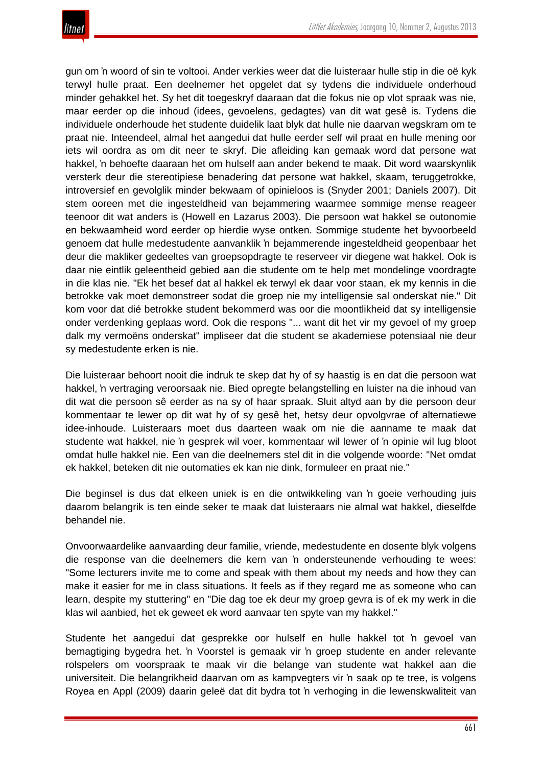

gun om 'n woord of sin te voltooi. Ander verkies weer dat die luisteraar hulle stip in die oë kyk terwyl hulle praat. Een deelnemer het opgelet dat sy tydens die individuele onderhoud minder gehakkel het. Sy het dit toegeskryf daaraan dat die fokus nie op vlot spraak was nie, maar eerder op die inhoud (idees, gevoelens, gedagtes) van dit wat gesê is. Tydens die individuele onderhoude het studente duidelik laat blyk dat hulle nie daarvan wegskram om te praat nie. Inteendeel, almal het aangedui dat hulle eerder self wil praat en hulle mening oor iets wil oordra as om dit neer te skryf. Die afleiding kan gemaak word dat persone wat hakkel, 'n behoefte daaraan het om hulself aan ander bekend te maak. Dit word waarskynlik versterk deur die stereotipiese benadering dat persone wat hakkel, skaam, teruggetrokke, introversief en gevolglik minder bekwaam of opinieloos is (Snyder 2001; Daniels 2007). Dit stem ooreen met die ingesteldheid van bejammering waarmee sommige mense reageer teenoor dit wat anders is (Howell en Lazarus 2003). Die persoon wat hakkel se outonomie en bekwaamheid word eerder op hierdie wyse ontken. Sommige studente het byvoorbeeld genoem dat hulle medestudente aanvanklik 'n bejammerende ingesteldheid geopenbaar het deur die makliker gedeeltes van groepsopdragte te reserveer vir diegene wat hakkel. Ook is daar nie eintlik geleentheid gebied aan die studente om te help met mondelinge voordragte in die klas nie. "Ek het besef dat al hakkel ek terwyl ek daar voor staan, ek my kennis in die betrokke vak moet demonstreer sodat die groep nie my intelligensie sal onderskat nie." Dit kom voor dat dié betrokke student bekommerd was oor die moontlikheid dat sy intelligensie onder verdenking geplaas word. Ook die respons "... want dit het vir my gevoel of my groep dalk my vermoëns onderskat" impliseer dat die student se akademiese potensiaal nie deur sy medestudente erken is nie.

Die luisteraar behoort nooit die indruk te skep dat hy of sy haastig is en dat die persoon wat hakkel, 'n vertraging veroorsaak nie. Bied opregte belangstelling en luister na die inhoud van dit wat die persoon sê eerder as na sy of haar spraak. Sluit altyd aan by die persoon deur kommentaar te lewer op dit wat hy of sy gesê het, hetsy deur opvolgvrae of alternatiewe idee-inhoude. Luisteraars moet dus daarteen waak om nie die aanname te maak dat studente wat hakkel, nie 'n gesprek wil voer, kommentaar wil lewer of 'n opinie wil lug bloot omdat hulle hakkel nie. Een van die deelnemers stel dit in die volgende woorde: "Net omdat ek hakkel, beteken dit nie outomaties ek kan nie dink, formuleer en praat nie."

Die beginsel is dus dat elkeen uniek is en die ontwikkeling van 'n goeie verhouding juis daarom belangrik is ten einde seker te maak dat luisteraars nie almal wat hakkel, dieselfde behandel nie.

Onvoorwaardelike aanvaarding deur familie, vriende, medestudente en dosente blyk volgens die response van die deelnemers die kern van 'n ondersteunende verhouding te wees: "Some lecturers invite me to come and speak with them about my needs and how they can make it easier for me in class situations. It feels as if they regard me as someone who can learn, despite my stuttering" en "Die dag toe ek deur my groep gevra is of ek my werk in die klas wil aanbied, het ek geweet ek word aanvaar ten spyte van my hakkel."

Studente het aangedui dat gesprekke oor hulself en hulle hakkel tot 'n gevoel van bemagtiging bygedra het. 'n Voorstel is gemaak vir 'n groep studente en ander relevante rolspelers om voorspraak te maak vir die belange van studente wat hakkel aan die universiteit. Die belangrikheid daarvan om as kampvegters vir 'n saak op te tree, is volgens Royea en Appl (2009) daarin geleë dat dit bydra tot 'n verhoging in die lewenskwaliteit van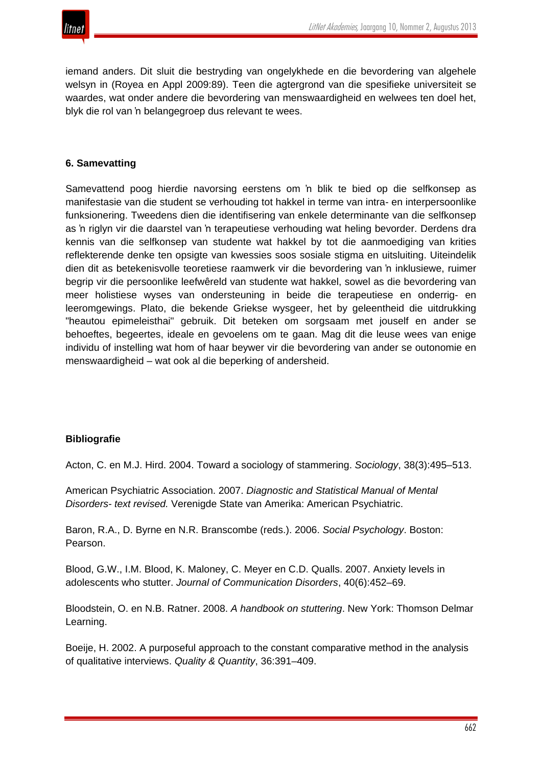

iemand anders. Dit sluit die bestryding van ongelykhede en die bevordering van algehele welsyn in (Royea en Appl 2009:89). Teen die agtergrond van die spesifieke universiteit se waardes, wat onder andere die bevordering van menswaardigheid en welwees ten doel het, blyk die rol van 'n belangegroep dus relevant te wees.

### **6. Samevatting**

Samevattend poog hierdie navorsing eerstens om 'n blik te bied op die selfkonsep as manifestasie van die student se verhouding tot hakkel in terme van intra- en interpersoonlike funksionering. Tweedens dien die identifisering van enkele determinante van die selfkonsep as 'n riglyn vir die daarstel van 'n terapeutiese verhouding wat heling bevorder. Derdens dra kennis van die selfkonsep van studente wat hakkel by tot die aanmoediging van krities reflekterende denke ten opsigte van kwessies soos sosiale stigma en uitsluiting. Uiteindelik dien dit as betekenisvolle teoretiese raamwerk vir die bevordering van 'n inklusiewe, ruimer begrip vir die persoonlike leefwêreld van studente wat hakkel, sowel as die bevordering van meer holistiese wyses van ondersteuning in beide die terapeutiese en onderrig- en leeromgewings. Plato, die bekende Griekse wysgeer, het by geleentheid die uitdrukking "heautou epimeleisthai" gebruik. Dit beteken om sorgsaam met jouself en ander se behoeftes, begeertes, ideale en gevoelens om te gaan. Mag dit die leuse wees van enige individu of instelling wat hom of haar beywer vir die bevordering van ander se outonomie en menswaardigheid – wat ook al die beperking of andersheid.

#### **Bibliografie**

Acton, C. en M.J. Hird. 2004. Toward a sociology of stammering. *Sociology*, 38(3):495–513.

American Psychiatric Association. 2007. *Diagnostic and Statistical Manual of Mental Disorders- text revised.* Verenigde State van Amerika: American Psychiatric.

Baron, R.A., D. Byrne en N.R. Branscombe (reds.). 2006. *Social Psychology*. Boston: Pearson.

Blood, G.W., I.M. Blood, K. Maloney, C. Meyer en C.D. Qualls. 2007. Anxiety levels in adolescents who stutter. *Journal of Communication Disorders*, 40(6):452–69.

Bloodstein, O. en N.B. Ratner. 2008. *A handbook on stuttering*. New York: Thomson Delmar Learning.

Boeije, H. 2002. A purposeful approach to the constant comparative method in the analysis of qualitative interviews. *Quality & Quantity*, 36:391–409.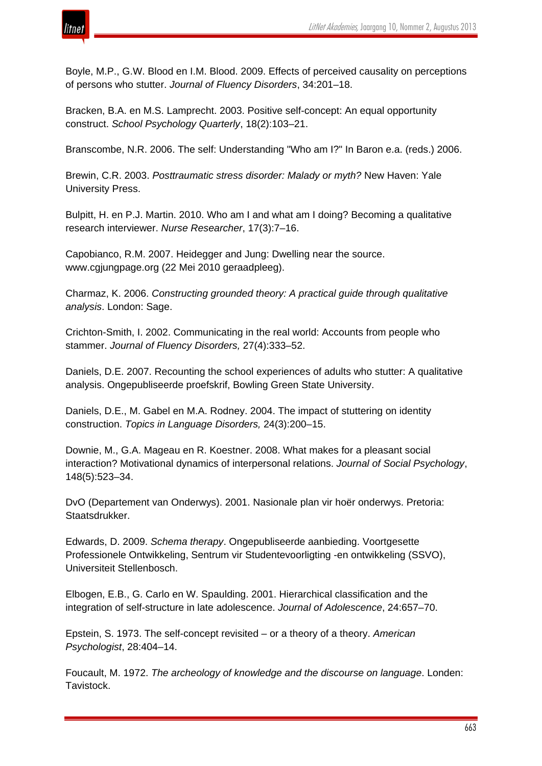

Boyle, M.P., G.W. Blood en I.M. Blood. 2009. Effects of perceived causality on perceptions of persons who stutter. *Journal of Fluency Disorders*, 34:201–18.

Bracken, B.A. en M.S. Lamprecht. 2003. Positive self-concept: An equal opportunity construct. *School Psychology Quarterly*, 18(2):103–21.

Branscombe, N.R. 2006. The self: Understanding "Who am I?" In Baron e.a. (reds.) 2006.

Brewin, C.R. 2003. *Posttraumatic stress disorder: Malady or myth?* New Haven: Yale University Press.

Bulpitt, H. en P.J. Martin. 2010. Who am I and what am I doing? Becoming a qualitative research interviewer. *Nurse Researcher*, 17(3):7–16.

Capobianco, R.M. 2007. Heidegger and Jung: Dwelling near the source. www.cgjungpage.org (22 Mei 2010 geraadpleeg).

Charmaz, K. 2006. *Constructing grounded theory: A practical guide through qualitative analysis*. London: Sage.

Crichton-Smith, I. 2002. Communicating in the real world: Accounts from people who stammer. *Journal of Fluency Disorders,* 27(4):333–52.

Daniels, D.E. 2007. Recounting the school experiences of adults who stutter: A qualitative analysis. Ongepubliseerde proefskrif, Bowling Green State University.

Daniels, D.E., M. Gabel en M.A. Rodney. 2004. The impact of stuttering on identity construction. *Topics in Language Disorders,* 24(3):200–15.

Downie, M., G.A. Mageau en R. Koestner. 2008. What makes for a pleasant social interaction? Motivational dynamics of interpersonal relations. *Journal of Social Psychology*, 148(5):523–34.

DvO (Departement van Onderwys). 2001. Nasionale plan vir hoër onderwys. Pretoria: Staatsdrukker.

Edwards, D. 2009. *Schema therapy*. Ongepubliseerde aanbieding. Voortgesette Professionele Ontwikkeling, Sentrum vir Studentevoorligting -en ontwikkeling (SSVO), Universiteit Stellenbosch.

Elbogen, E.B., G. Carlo en W. Spaulding. 2001. Hierarchical classification and the integration of self-structure in late adolescence. *Journal of Adolescence*, 24:657–70.

Epstein, S. 1973. The self-concept revisited – or a theory of a theory. *American Psychologist*, 28:404–14.

Foucault, M. 1972. *The archeology of knowledge and the discourse on language*. Londen: Tavistock.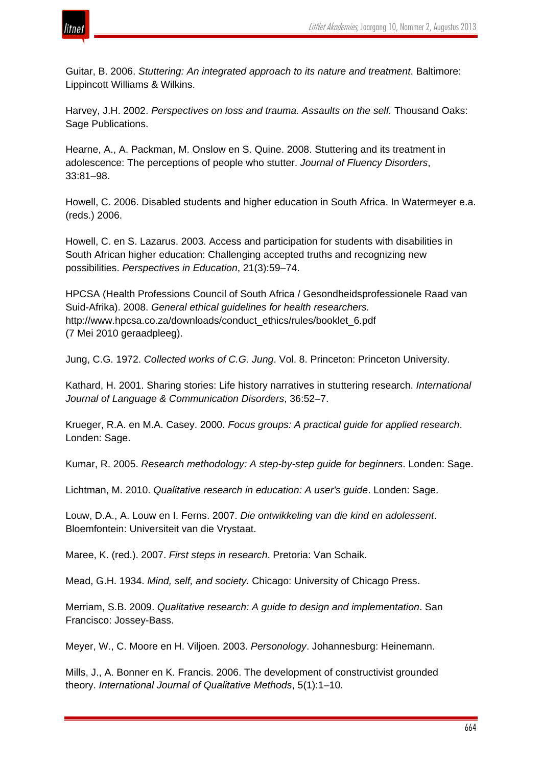

Guitar, B. 2006. *Stuttering: An integrated approach to its nature and treatment*. Baltimore: Lippincott Williams & Wilkins.

Harvey, J.H. 2002. *Perspectives on loss and trauma. Assaults on the self.* Thousand Oaks: Sage Publications.

Hearne, A., A. Packman, M. Onslow en S. Quine. 2008. Stuttering and its treatment in adolescence: The perceptions of people who stutter. *Journal of Fluency Disorders*, 33:81–98.

Howell, C. 2006. Disabled students and higher education in South Africa. In Watermeyer e.a. (reds.) 2006.

Howell, C. en S. Lazarus. 2003. Access and participation for students with disabilities in South African higher education: Challenging accepted truths and recognizing new possibilities. *Perspectives in Education*, 21(3):59–74.

HPCSA (Health Professions Council of South Africa / Gesondheidsprofessionele Raad van Suid-Afrika). 2008. *General ethical guidelines for health researchers.* http://www.hpcsa.co.za/downloads/conduct\_ethics/rules/booklet\_6.pdf (7 Mei 2010 geraadpleeg).

Jung, C.G. 1972. *Collected works of C.G. Jung*. Vol. 8. Princeton: Princeton University.

Kathard, H. 2001. Sharing stories: Life history narratives in stuttering research. *International Journal of Language & Communication Disorders*, 36:52–7.

Krueger, R.A. en M.A. Casey. 2000. *Focus groups: A practical guide for applied research*. Londen: Sage.

Kumar, R. 2005. *Research methodology: A step-by-step guide for beginners*. Londen: Sage.

Lichtman, M. 2010. *Qualitative research in education: A user's guide*. Londen: Sage.

Louw, D.A., A. Louw en I. Ferns. 2007. *Die ontwikkeling van die kind en adolessent*. Bloemfontein: Universiteit van die Vrystaat.

Maree, K. (red.). 2007. *First steps in research*. Pretoria: Van Schaik.

Mead, G.H. 1934. *Mind, self, and society*. Chicago: University of Chicago Press.

Merriam, S.B. 2009. *Qualitative research: A guide to design and implementation*. San Francisco: Jossey-Bass.

Meyer, W., C. Moore en H. Viljoen. 2003. *Personology*. Johannesburg: Heinemann.

Mills, J., A. Bonner en K. Francis. 2006. The development of constructivist grounded theory. *International Journal of Qualitative Methods*, 5(1):1–10.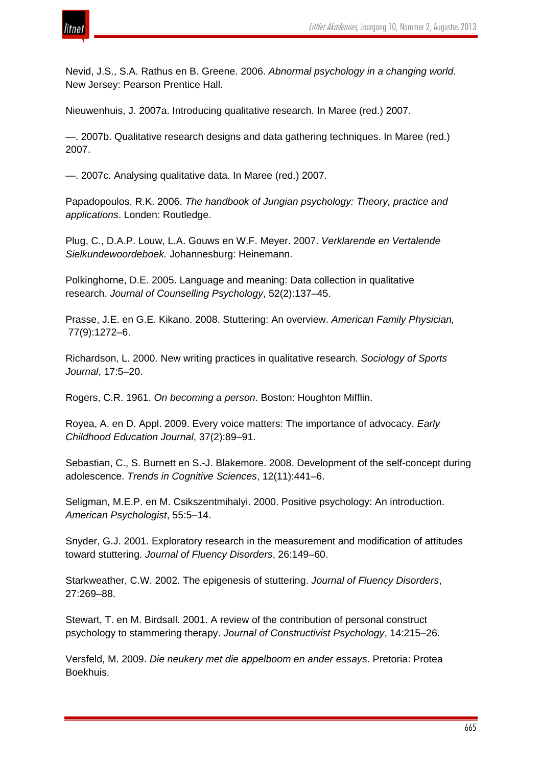

Nevid, J.S., S.A. Rathus en B. Greene. 2006. *Abnormal psychology in a changing world*. New Jersey: Pearson Prentice Hall.

Nieuwenhuis, J. 2007a. Introducing qualitative research. In Maree (red.) 2007.

—. 2007b. Qualitative research designs and data gathering techniques. In Maree (red.) 2007.

—. 2007c. Analysing qualitative data. In Maree (red.) 2007.

Papadopoulos, R.K. 2006. *The handbook of Jungian psychology: Theory, practice and applications*. Londen: Routledge.

Plug, C., D.A.P. Louw, L.A. Gouws en W.F. Meyer. 2007. *Verklarende en Vertalende Sielkundewoordeboek.* Johannesburg: Heinemann.

Polkinghorne, D.E. 2005. Language and meaning: Data collection in qualitative research. *Journal of Counselling Psychology*, 52(2):137–45.

Prasse, J.E. en G.E. Kikano. 2008. Stuttering: An overview. *American Family Physician,* 77(9):1272–6.

Richardson, L. 2000. New writing practices in qualitative research. *Sociology of Sports Journal*, 17:5–20.

Rogers, C.R. 1961. *On becoming a person*. Boston: Houghton Mifflin.

Royea, A. en D. Appl. 2009. Every voice matters: The importance of advocacy. *Early Childhood Education Journal*, 37(2):89–91.

Sebastian, C., S. Burnett en S.-J. Blakemore. 2008. Development of the self-concept during adolescence. *Trends in Cognitive Sciences*, 12(11):441–6.

Seligman, M.E.P. en M. Csikszentmihalyi. 2000. Positive psychology: An introduction. *American Psychologist*, 55:5–14.

Snyder, G.J. 2001. Exploratory research in the measurement and modification of attitudes toward stuttering. *Journal of Fluency Disorders*, 26:149–60.

Starkweather, C.W. 2002. The epigenesis of stuttering. *Journal of Fluency Disorders*, 27:269–88.

Stewart, T. en M. Birdsall. 2001. A review of the contribution of personal construct psychology to stammering therapy. *Journal of Constructivist Psychology*, 14:215–26.

Versfeld, M. 2009. *Die neukery met die appelboom en ander essays*. Pretoria: Protea Boekhuis.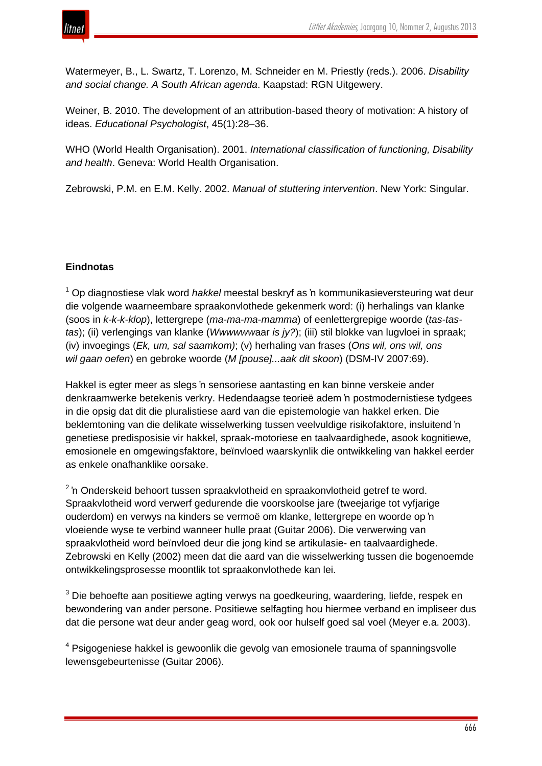

Watermeyer, B., L. Swartz, T. Lorenzo, M. Schneider en M. Priestly (reds.). 2006. *Disability and social change. A South African agenda*. Kaapstad: RGN Uitgewery.

Weiner, B. 2010. The development of an attribution-based theory of motivation: A history of ideas. *Educational Psychologist*, 45(1):28–36.

WHO (World Health Organisation). 2001. *International classification of functioning, Disability and health*. Geneva: World Health Organisation.

Zebrowski, P.M. en E.M. Kelly. 2002. *Manual of stuttering intervention*. New York: Singular.

# **Eindnotas**

<sup>1</sup> Op diagnostiese vlak word *hakkel* meestal beskryf as 'n kommunikasieversteuring wat deur die volgende waarneembare spraakonvlothede gekenmerk word: (i) herhalings van klanke (soos in *k-k-k*-*klop*), lettergrepe (*ma-ma-ma*-*mamma*) of eenlettergrepige woorde (*tas-tastas*); (ii) verlengings van klanke (*Wwwwww*aar *is jy?*); (iii) stil blokke van lugvloei in spraak; (iv) invoegings (*Ek, um, sal saamkom)*; (v) herhaling van frases (*Ons wil, ons wil, ons wil gaan oefen*) en gebroke woorde (*M [pouse]...aak dit skoon*) (DSM-IV 2007:69).

Hakkel is egter meer as slegs 'n sensoriese aantasting en kan binne verskeie ander denkraamwerke betekenis verkry. Hedendaagse teorieë adem 'n postmodernistiese tydgees in die opsig dat dit die pluralistiese aard van die epistemologie van hakkel erken. Die beklemtoning van die delikate wisselwerking tussen veelvuldige risikofaktore, insluitend 'n genetiese predisposisie vir hakkel, spraak-motoriese en taalvaardighede, asook kognitiewe, emosionele en omgewingsfaktore, beïnvloed waarskynlik die ontwikkeling van hakkel eerder as enkele onafhanklike oorsake.

<sup>2</sup> 'n Onderskeid behoort tussen spraakvlotheid en spraakonvlotheid getref te word. Spraakvlotheid word verwerf gedurende die voorskoolse jare (tweejarige tot vyfjarige ouderdom) en verwys na kinders se vermoë om klanke, lettergrepe en woorde op 'n vloeiende wyse te verbind wanneer hulle praat (Guitar 2006). Die verwerwing van spraakvlotheid word beïnvloed deur die jong kind se artikulasie- en taalvaardighede. Zebrowski en Kelly (2002) meen dat die aard van die wisselwerking tussen die bogenoemde ontwikkelingsprosesse moontlik tot spraakonvlothede kan lei.

<sup>3</sup> Die behoefte aan positiewe agting verwys na goedkeuring, waardering, liefde, respek en bewondering van ander persone. Positiewe selfagting hou hiermee verband en impliseer dus dat die persone wat deur ander geag word, ook oor hulself goed sal voel (Meyer e.a. 2003).

<sup>4</sup> Psigogeniese hakkel is gewoonlik die gevolg van emosionele trauma of spanningsvolle lewensgebeurtenisse (Guitar 2006).